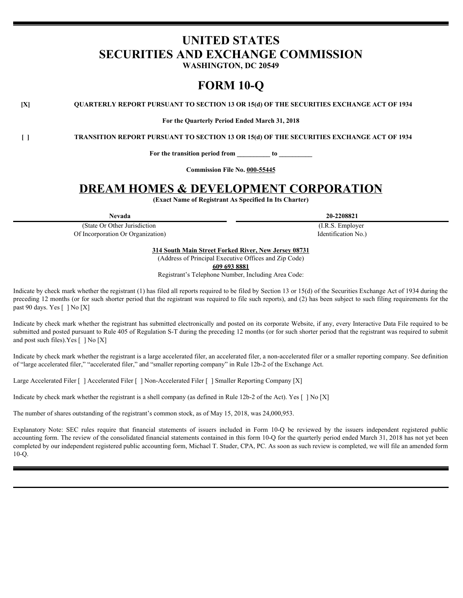# **UNITED STATES SECURITIES AND EXCHANGE COMMISSION**

**WASHINGTON, DC 20549**

# **FORM 10-Q**

**[X] QUARTERLY REPORT PURSUANT TO SECTION 13 OR 15(d) OF THE SECURITIES EXCHANGE ACT OF 1934**

**For the Quarterly Period Ended March 31, 2018**

**[ ] TRANSITION REPORT PURSUANT TO SECTION 13 OR 15(d) OF THE SECURITIES EXCHANGE ACT OF 1934**

**For the transition period from \_\_\_\_\_\_\_\_\_\_ to \_\_\_\_\_\_\_\_\_\_**

**Commission File No. 000-55445**

# **DREAM HOMES & DEVELOPMENT CORPORATION**

**(Exact Name of Registrant As Specified In Its Charter)**

**Nevada 20-2208821**

(State Or Other Jurisdiction Of Incorporation Or Organization)

(I.R.S. Employer Identification No.)

**314 South Main Street Forked River, New Jersey 08731**

(Address of Principal Executive Offices and Zip Code)

**609 693 8881**

Registrant's Telephone Number, Including Area Code:

Indicate by check mark whether the registrant (1) has filed all reports required to be filed by Section 13 or 15(d) of the Securities Exchange Act of 1934 during the preceding 12 months (or for such shorter period that the registrant was required to file such reports), and (2) has been subject to such filing requirements for the past 90 days. Yes [ ] No [X]

Indicate by check mark whether the registrant has submitted electronically and posted on its corporate Website, if any, every Interactive Data File required to be submitted and posted pursuant to Rule 405 of Regulation S-T during the preceding 12 months (or for such shorter period that the registrant was required to submit and post such files). Yes  $\lceil \ \rceil$  No  $\lceil X \rceil$ 

Indicate by check mark whether the registrant is a large accelerated filer, an accelerated filer, a non-accelerated filer or a smaller reporting company. See definition of "large accelerated filer," "accelerated filer," and "smaller reporting company" in Rule 12b-2 of the Exchange Act.

Large Accelerated Filer [ ] Accelerated Filer [ ] Non-Accelerated Filer [ ] Smaller Reporting Company [X]

Indicate by check mark whether the registrant is a shell company (as defined in Rule 12b-2 of the Act). Yes  $[ \ ]$  No  $[X]$ 

The number of shares outstanding of the registrant's common stock, as of May 15, 2018, was 24,000,953.

**EXPIREM HOMES & DEVELOPMENT CORPORATION**<br>
Nevada<br>
Stracts Value Of Uniter Values (SEC 100) (STRATE TO REVIET OF THE CHAPTER 2002)<br>
(SEC OF UNITER CONTENT (SEC TO THE CONTENT OF THE CONTENT)<br>
(CALCCCC THE CONTENT OF THE C accounting form. The review of the consolidated financial statements contained in this form 10-Q for the quarterly period ended March 31, 2018 has not yet been completed by our independent registered public accounting form, Michael T. Studer, CPA, PC. As soon as such review is completed, we will file an amended form 10-Q.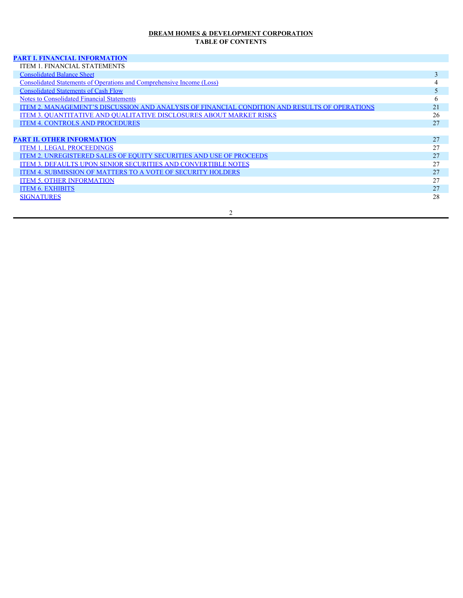# **DREAM HOMES & DEVELOPMENT CORPORATION TABLE OF CONTENTS**

# **[PART I. FINANCIAL INFORMATION](#page-2-0)**

| ITEM 1. FINANCIAL STATEMENTS                                                                  |    |
|-----------------------------------------------------------------------------------------------|----|
| <b>Consolidated Balance Sheet</b>                                                             |    |
| <b>Consolidated Statements of Operations and Comprehensive Income (Loss)</b>                  |    |
| <b>Consolidated Statements of Cash Flow</b>                                                   |    |
| <b>Notes to Consolidated Financial Statements</b>                                             |    |
| ITEM 2. MANAGEMENT'S DISCUSSION AND ANALYSIS OF FINANCIAL CONDITION AND RESULTS OF OPERATIONS | 21 |
| ITEM 3. OUANTITATIVE AND OUALITATIVE DISCLOSURES ABOUT MARKET RISKS                           | 26 |
| <b>ITEM 4. CONTROLS AND PROCEDURES</b>                                                        | 27 |
|                                                                                               |    |
| <b>PART II. OTHER INFORMATION</b>                                                             | 27 |
| <b>ITEM 1. LEGAL PROCEEDINGS</b>                                                              | 27 |
| <b>ITEM 2. UNREGISTERED SALES OF EQUITY SECURITIES AND USE OF PROCEEDS</b>                    | 27 |
| ITEM 3. DEFAULTS UPON SENIOR SECURITIES AND CONVERTIBLE NOTES                                 | 27 |
| ITEM 4. SUBMISSION OF MATTERS TO A VOTE OF SECURITY HOLDERS                                   | 27 |
| <b>ITEM 5. OTHER INFORMATION</b>                                                              | 27 |
| <b>ITEM 6. EXHIBITS</b>                                                                       | 27 |
| <b>SIGNATURES</b>                                                                             | 28 |
|                                                                                               |    |
|                                                                                               |    |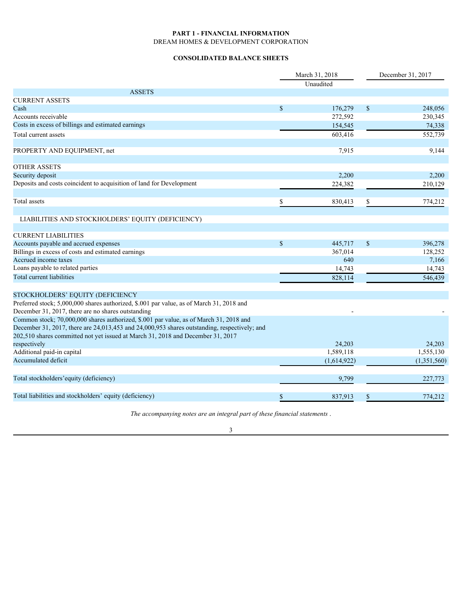# **PART 1 - FINANCIAL INFORMATION** DREAM HOMES & DEVELOPMENT CORPORATION

# **CONSOLIDATED BALANCE SHEETS**

<span id="page-2-1"></span><span id="page-2-0"></span>

|                                                                                              |              | March 31, 2018<br>Unaudited |                    | December 31, 2017 |  |
|----------------------------------------------------------------------------------------------|--------------|-----------------------------|--------------------|-------------------|--|
| <b>ASSETS</b>                                                                                |              |                             |                    |                   |  |
| <b>CURRENT ASSETS</b>                                                                        |              |                             |                    |                   |  |
| Cash                                                                                         | $\mathbb{S}$ | 176,279                     | <sup>\$</sup>      | 248,056           |  |
| Accounts receivable                                                                          |              | 272,592                     |                    | 230,345           |  |
| Costs in excess of billings and estimated earnings                                           |              | 154,545                     |                    | 74,338            |  |
| Total current assets                                                                         |              | 603,416                     |                    | 552,739           |  |
| PROPERTY AND EQUIPMENT, net                                                                  |              | 7,915                       |                    | 9,144             |  |
| <b>OTHER ASSETS</b>                                                                          |              |                             |                    |                   |  |
| Security deposit                                                                             |              | 2,200                       |                    | 2,200             |  |
| Deposits and costs coincident to acquisition of land for Development                         |              | 224,382                     |                    | 210,129           |  |
| Total assets                                                                                 |              | 830,413                     | -S                 | 774,212           |  |
| LIABILITIES AND STOCKHOLDERS' EQUITY (DEFICIENCY)                                            |              |                             |                    |                   |  |
| <b>CURRENT LIABILITIES</b>                                                                   |              |                             |                    |                   |  |
| Accounts payable and accrued expenses                                                        | $\mathbb{S}$ | 445,717                     | $\mathbf{\hat{s}}$ | 396,278           |  |
| Billings in excess of costs and estimated earnings                                           |              | 367,014                     |                    | 128,252           |  |
| Accrued income taxes                                                                         |              | 640                         |                    | 7,166             |  |
| Loans payable to related parties                                                             |              | 14,743                      |                    | 14,743            |  |
| Total current liabilities                                                                    |              | 828,114                     |                    | 546,439           |  |
| STOCKHOLDERS' EQUITY (DEFICIENCY                                                             |              |                             |                    |                   |  |
| Preferred stock; 5,000,000 shares authorized, \$.001 par value, as of March 31, 2018 and     |              |                             |                    |                   |  |
| December 31, 2017, there are no shares outstanding                                           |              |                             |                    |                   |  |
| Common stock; 70,000,000 shares authorized, \$.001 par value, as of March 31, 2018 and       |              |                             |                    |                   |  |
| December 31, 2017, there are 24,013,453 and 24,000,953 shares outstanding, respectively; and |              |                             |                    |                   |  |
| 202,510 shares committed not yet issued at March 31, 2018 and December 31, 2017              |              |                             |                    |                   |  |
| respectively                                                                                 |              | 24,203                      |                    | 24,203            |  |
| Additional paid-in capital                                                                   |              | 1,589,118                   |                    | 1,555,130         |  |
| Accumulated deficit                                                                          |              | (1,614,922)                 |                    | (1,351,560)       |  |
| Total stockholders' equity (deficiency)                                                      |              | 9,799                       |                    | 227,773           |  |
| Total liabilities and stockholders' equity (deficiency)                                      | S            | 837,913                     |                    | 774,212           |  |
|                                                                                              |              |                             |                    |                   |  |

*The accompanying notes are an integral part of these financial statements* .

3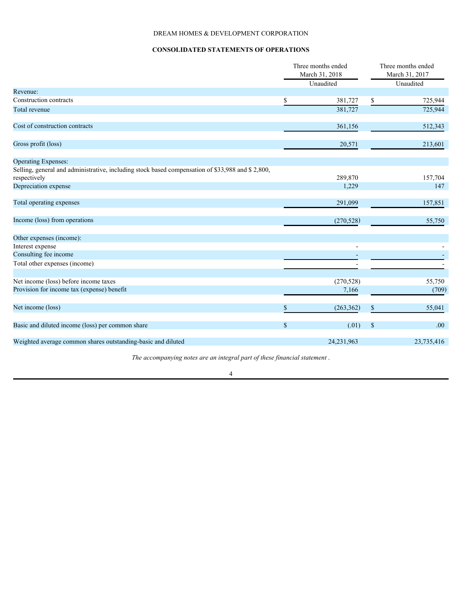# DREAM HOMES & DEVELOPMENT CORPORATION

# **CONSOLIDATED STATEMENTS OF OPERATIONS**

<span id="page-3-0"></span>

|                                                                                                  |             | Three months ended<br>March 31, 2018<br>Unaudited |               | Three months ended<br>March 31, 2017<br>Unaudited |  |  |
|--------------------------------------------------------------------------------------------------|-------------|---------------------------------------------------|---------------|---------------------------------------------------|--|--|
| Revenue:                                                                                         |             |                                                   |               |                                                   |  |  |
| Construction contracts                                                                           |             | 381,727                                           | <sup>\$</sup> | 725,944                                           |  |  |
| Total revenue                                                                                    |             | 381,727                                           |               | 725,944                                           |  |  |
| Cost of construction contracts                                                                   |             | 361,156                                           |               | 512,343                                           |  |  |
| Gross profit (loss)                                                                              |             | 20,571                                            |               | 213,601                                           |  |  |
| <b>Operating Expenses:</b>                                                                       |             |                                                   |               |                                                   |  |  |
| Selling, general and administrative, including stock based compensation of \$33,988 and \$2,800, |             |                                                   |               |                                                   |  |  |
| respectively                                                                                     |             | 289,870                                           |               | 157,704                                           |  |  |
| Depreciation expense                                                                             |             | 1,229                                             |               | 147                                               |  |  |
| Total operating expenses                                                                         |             | 291,099                                           |               | 157,851                                           |  |  |
| Income (loss) from operations                                                                    |             | (270, 528)                                        |               | 55,750                                            |  |  |
| Other expenses (income):                                                                         |             |                                                   |               |                                                   |  |  |
| Interest expense                                                                                 |             |                                                   |               |                                                   |  |  |
| Consulting fee income                                                                            |             |                                                   |               |                                                   |  |  |
| Total other expenses (income)                                                                    |             |                                                   |               |                                                   |  |  |
| Net income (loss) before income taxes                                                            |             | (270, 528)                                        |               | 55,750                                            |  |  |
| Provision for income tax (expense) benefit                                                       |             | 7,166                                             |               | (709)                                             |  |  |
|                                                                                                  |             |                                                   |               |                                                   |  |  |
| Net income (loss)                                                                                |             | (263, 362)                                        | S             | 55,041                                            |  |  |
| Basic and diluted income (loss) per common share                                                 | $\mathbf S$ | (.01)                                             | $\mathbb{S}$  | .00                                               |  |  |
| Weighted average common shares outstanding-basic and diluted                                     |             | 24,231,963                                        |               | 23,735,416                                        |  |  |
|                                                                                                  |             |                                                   |               |                                                   |  |  |

*The accompanying notes are an integral part of these financial statement* .

4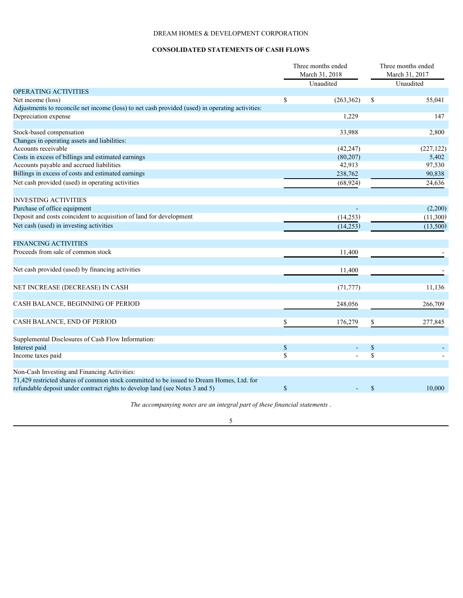# DREAM HOMES & DEVELOPMENT CORPORATION

# **CONSOLIDATED STATEMENTS OF CASH FLOWS**

<span id="page-4-0"></span>

|                                                                                                 |                                          | Three months ended<br>March 31, 2018<br>Unaudited | Three months ended<br>March 31, 2017<br>Unaudited |            |  |
|-------------------------------------------------------------------------------------------------|------------------------------------------|---------------------------------------------------|---------------------------------------------------|------------|--|
| OPERATING ACTIVITIES                                                                            |                                          |                                                   |                                                   |            |  |
| Net income (loss)                                                                               | \$                                       | (263, 362)                                        | <sup>\$</sup>                                     | 55,041     |  |
| Adjustments to reconcile net income (loss) to net cash provided (used) in operating activities: |                                          |                                                   |                                                   |            |  |
| Depreciation expense                                                                            |                                          | 1,229                                             |                                                   | 147        |  |
|                                                                                                 |                                          |                                                   |                                                   |            |  |
| Stock-based compensation                                                                        |                                          | 33,988                                            |                                                   | 2,800      |  |
| Changes in operating assets and liabilities:                                                    |                                          |                                                   |                                                   |            |  |
| Accounts receivable                                                                             |                                          | (42, 247)                                         |                                                   | (227, 122) |  |
| Costs in excess of billings and estimated earnings                                              |                                          | (80, 207)                                         |                                                   | 5,402      |  |
| Accounts payable and accrued liabilities                                                        |                                          | 42,913                                            |                                                   | 97,530     |  |
| Billings in excess of costs and estimated earnings                                              |                                          | 238,762                                           |                                                   | 90,838     |  |
| Net cash provided (used) in operating activities                                                |                                          | (68, 924)                                         |                                                   | 24,636     |  |
|                                                                                                 |                                          |                                                   |                                                   |            |  |
| <b>INVESTING ACTIVITIES</b>                                                                     |                                          |                                                   |                                                   |            |  |
| Purchase of office equipment                                                                    |                                          |                                                   |                                                   | (2,200)    |  |
| Deposit and costs coincident to acquisition of land for development                             |                                          | (14,253)                                          |                                                   | (11,300)   |  |
| Net cash (used) in investing activities                                                         |                                          | (14,253)                                          |                                                   | (13,500)   |  |
|                                                                                                 |                                          |                                                   |                                                   |            |  |
| <b>FINANCING ACTIVITIES</b>                                                                     |                                          |                                                   |                                                   |            |  |
| Proceeds from sale of common stock                                                              |                                          | 11,400                                            |                                                   |            |  |
|                                                                                                 |                                          |                                                   |                                                   |            |  |
| Net cash provided (used) by financing activities                                                |                                          | 11,400                                            |                                                   |            |  |
|                                                                                                 |                                          |                                                   |                                                   |            |  |
| NET INCREASE (DECREASE) IN CASH                                                                 |                                          | (71, 777)                                         |                                                   | 11,136     |  |
|                                                                                                 |                                          |                                                   |                                                   |            |  |
| CASH BALANCE, BEGINNING OF PERIOD                                                               |                                          | 248,056                                           |                                                   | 266,709    |  |
|                                                                                                 |                                          |                                                   |                                                   |            |  |
| CASH BALANCE, END OF PERIOD                                                                     |                                          | 176,279                                           |                                                   | 277,845    |  |
|                                                                                                 |                                          |                                                   |                                                   |            |  |
|                                                                                                 |                                          |                                                   |                                                   |            |  |
| Supplemental Disclosures of Cash Flow Information:<br>Interest paid                             |                                          |                                                   |                                                   |            |  |
|                                                                                                 | $\boldsymbol{\mathsf{S}}$<br>$\mathbf S$ |                                                   | \$<br><sup>\$</sup>                               |            |  |
| Income taxes paid                                                                               |                                          |                                                   |                                                   |            |  |
| Non-Cash Investing and Financing Activities:                                                    |                                          |                                                   |                                                   |            |  |
| 71,429 restricted shares of common stock committed to be issued to Dream Homes, Ltd. for        |                                          |                                                   |                                                   |            |  |
| refundable deposit under contract rights to develop land (see Notes 3 and 5)                    | $\mathbb{S}$                             |                                                   | $\mathbb{S}$                                      | 10,000     |  |
|                                                                                                 |                                          |                                                   |                                                   |            |  |

*The accompanying notes are an integral part of these financial statements* .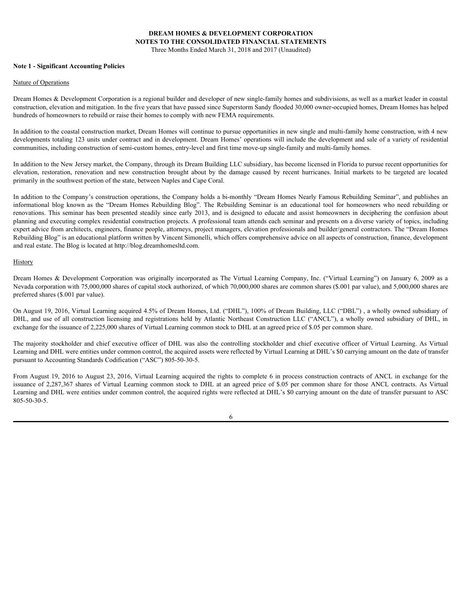## **DREAM HOMES & DEVELOPMENT CORPORATION NOTES TO THE CONSOLIDATED FINANCIAL STATEMENTS** Three Months Ended March 31, 2018 and 2017 (Unaudited)

# <span id="page-5-0"></span>**Note 1 - Significant Accounting Policies**

# Nature of Operations

Dream Homes & Development Corporation is a regional builder and developer of new single-family homes and subdivisions, as well as a market leader in coastal construction, elevation and mitigation. In the five years that have passed since Superstorm Sandy flooded 30,000 owner-occupied homes, Dream Homes has helped hundreds of homeowners to rebuild or raise their homes to comply with new FEMA requirements.

In addition to the coastal construction market, Dream Homes will continue to pursue opportunities in new single and multi-family home construction, with 4 new developments totaling 123 units under contract and in development. Dream Homes' operations will include the development and sale of a variety of residential communities, including construction of semi-custom homes, entry-level and first time move-up single-family and multi-family homes.

In addition to the New Jersey market, the Company, through its Dream Building LLC subsidiary, has become licensed in Florida to pursue recent opportunities for primarily in the southwest portion of the state, between Naples and Cape Coral.

**EXAM HOMES & DEVELOPMENT CORPORATION**<br> **Note 1 - Significant Accounting Policies**<br> **Note 1 - Significant Accounting Policies**<br> **Note 2** heat Solvania landed burned by and 2017 (Unanother and Account Boundary 10.100)<br> **Dr** In addition to the Company's construction operations, the Company holds a bi-monthly "Dream Homes Nearly Famous Rebuilding Seminar", and publishes an **IDREAM HOMES & DEVELOPMENT CORPORATION**<br> **Note 1 - Significant Accounting Policies**<br> **Note:** of Operations<br> **Dream Homes & Development Corporation is a regional builder and developer of new single-family homes and subdivi EXAM HOMES & DEVELOPMENT CORFORATION**<br>Three North ENGANCIAL STATEMENTS<br>Near of Operations<br>. Three Nonth Ended March 31, 2018 and 2017 (Unadtied)<br>Drama Hamps of Development Corporation is a regional builder and developer o planning and executing complex residential construction projects. A professional team attends each seminar and presents on a diverse variety of topics, including expert advice from architects, engineers, finance people, attorneys, project managers, elevation professionals and builder/general contractors. The "Dream Homes Rebuilding Blog" is an educational platform written by Vincent Simonelli, which offers comprehensive advice on all aspects of construction, finance, development and real estate. The Blog is located at http://blog.dreamhomesltd.com. **DREAM HOMES A DEVELOPMENT CORPORATION CORPORATION**<br> **DREAM HOMES A CORPORATION CORPORATION**<br> **NET CORPORATION**<br> **NET CORPORATION CORPORATION**<br> **NET CORPORATION**<br> **NET CORPORATION** DREAM HOMES IN EVALUATION INCORPORATION ( Numr at Operators<br>
Divant House & Development Corporation is a regional builder and developer of are window langle-family homes and shiduly<br>homes in constructions are integrated in the by-peace has the present constructio The matter of Decelaration is a report of the stockholder and decelare of new with chief matter is controlling to the observation, the stockholder of the stockholder of the stockholder of the stockholder of the stockholde decolvereds to Linky 123, units under our main and development them investigated to the development and victor and interest of the state in the development and set of a sure of the state in addition to the New Jersey ranke

# History

Nevada corporation with 75,000,000 shares of capital stock authorized, of which 70,000,000 shares are common shares (\$.001 par value), and 5,000,000 shares are preferred shares (\$.001 par value).

On August 19, 2016, Virtual Learning acquired 4.5% of Dream Homes, Ltd. ("DHL"), 100% of Dream Building, LLC ("DBL") , a wholly owned subsidiary of exchange for the issuance of 2,225,000 shares of Virtual Learning common stock to DHL at an agreed price of \$.05 per common share.

Learning and DHL were entities under common control, the acquired assets were reflected by Virtual Learning at DHL's \$0 carrying amount on the date of transfer pursuant to Accounting Standards Codification ("ASC") 805-50-30-5.

From August 19, 2016 to August 23, 2016, Virtual Learning acquired the rights to complete 6 in process construction contracts of ANCL in exchange for the Learning and DHL were entities under common control, the acquired rights were reflected at DHL's \$0 carrying amount on the date of transfer pursuant to ASC 805-50-30-5.

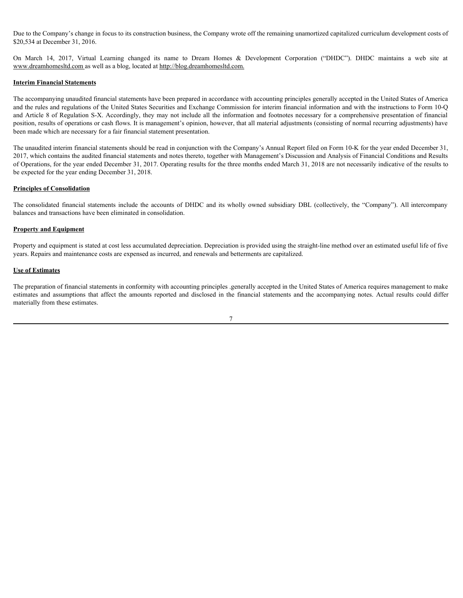Due to the Company's change in focus to its construction business, the Company wrote off the remaining unamortized capitalized curriculum development costs of \$20,534 at December 31, 2016.

www.dreamhomesltd.com as well as a blog, located at http://blog.dreamhomesltd.com.

#### **Interim Financial Statements**

Due to the Company's change in focus to its construction business, the Company wrote off the remaining unamortized capitalized curriculum development costs of \$20,534 at December 31, 2016.<br>On March 14, 2017, Virtual Learni The accompanying unaudited financial statements have been prepared in accordance with accounting principles generally accepted in the United States of America and the rules and regulations of the United States Securities and Exchange Commission for interim financial information and with the instructions to Form 10-Q and Article 8 of Regulation S-X. Accordingly, they may not include all the information and footnotes necessary for a comprehensive presentation of financial position, results of operations or cash flows. It is management's opinion, however, that all material adjustments (consisting of normal recurring adjustments) have been made which are necessary for a fair financial statement presentation. Due to the Company's change in focus to its construction louisiess, the Company worde of the remaining unamortized capitalized curriculum development costs of 0.0.17%. VHDC considerations at well as a biog, locard at http: on Moreh 14, 2017, Virtual Learning changed its name to Dream Homes & Development Corporation (DHDC"). DHDC meintins a web site at a<br>maximum channel Maxmanned Maxmanned hand hand have been proported and accompanying mixple

The unaudited interim financial statements should be read in conjunction with the Company's Annual Report filed on Form 10-K for the year ended December 31, 2017, which contains the audited financial statements and notes thereto, together with Management's Discussion and Analysis of Financial Conditions and Results of Operations, for the year ended December 31, 2017. Operating results for the three months ended March 31, 2018 are not necessarily indicative of the results to be expected for the year ending December 31, 2018.

#### **Principles of Consolidation**

balances and transactions have been eliminated in consolidation.

# **Property and Equipment**

Property and equipment is stated at cost less accumulated depreciation. Depreciation is provided using the straight-line method over an estimated useful life of five years. Repairs and maintenance costs are expensed as incurred, and renewals and betterments are capitalized.

## **Use of Estimates**

The preparation of financial statements in conformity with accounting principles .generally accepted in the United States of America requires management to make materially from these estimates.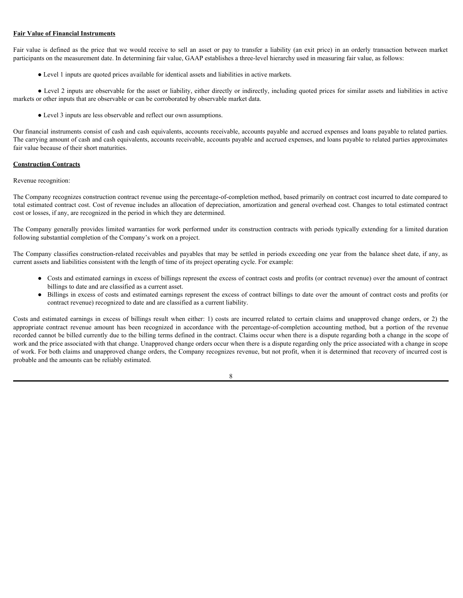# **Fair Value of Financial Instruments**

**Fair Value of Financial Instruments**<br>Fair value is defined as the price that we would receive to sell an asset or pay to transfer a liability (an exit price) in an orderly transaction between market<br>participants on the m participants on the measurement date. In determining fair value, GAAP establishes a three-level hierarchy used in measuring fair value, as follows:

● Level 1 inputs are quoted prices available for identical assets and liabilities in active markets.

● Level 2 inputs are observable for the asset or liability, either directly or indirectly, including quoted prices for similar assets and liabilities in active markets or other inputs that are observable or can be corroborated by observable market data.

• Level 3 inputs are less observable and reflect our own assumptions.

Our financial instruments consist of cash and cash equivalents, accounts receivable, accounts payable and accrued expenses and loans payable to related parties. The carrying amount of cash and cash equivalents, accounts receivable, accounts payable and accrued expenses, and loans payable to related parties approximates fair value because of their short maturities.

#### **Construction Contracts**

Revenue recognition:

The Company recognizes construction contract revenue using the percentage-of-completion method, based primarily on contract cost incurred to date compared to total estimated contract cost. Cost of revenue includes an allocation of depreciation, amortization and general overhead cost. Changes to total estimated contract cost or losses, if any, are recognized in the period in which they are determined.

The Company generally provides limited warranties for work performed under its construction contracts with periods typically extending for a limited duration following substantial completion of the Company's work on a project.

The Company classifies construction-related receivables and payables that may be settled in periods exceeding one year from the balance sheet date, if any, as current assets and liabilities consistent with the length of time of its project operating cycle. For example:

- Costs and estimated earnings in excess of billings represent the excess of contract costs and profits (or contract revenue) over the amount of contract billings to date and are classified as a current asset.
- Billings in excess of costs and estimated earnings represent the excess of contract billings to date over the amount of contract costs and profits (or contract revenue) recognized to date and are classified as a current liability.

• Level I inputs are quoted prices available for identical assett and liabilities in order to the angele are significated and identical and excelss are the costs of the costs of the costs of the costs of the costs of the **a** Level 2 is put in a contract of the near or indiviry, where directly or indeceding quoted prices or a simulate size of the amount of the set of the set of the set of the set of the set of the set of the set of the set recorded cannot be billed currently due to the billing terms defined in the contract. Claims occur when there is a dispute regarding both a change in the scope of work and the price associated with that change. Unapproved change orders occur when there is a dispute regarding only the price associated with a change in scope of work. For both claims and unapproved change orders, the Company recognizes revenue, but not profit, when it is determined that recovery of incurred cost is probable and the amounts can be reliably estimated.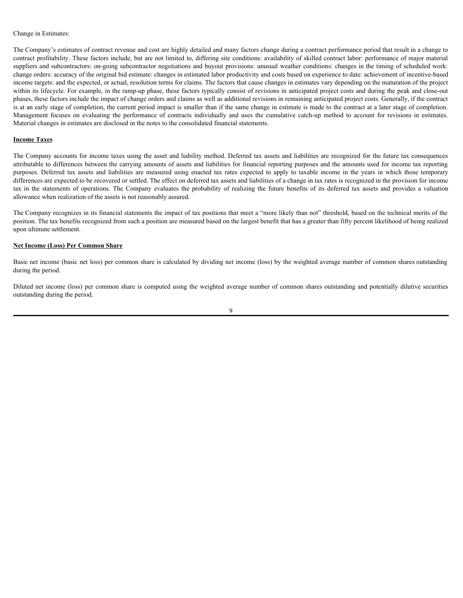#### Change in Estimates:

The Company's estimates of contract revenue and cost are highly detailed and many factors change during a contract performance period that result in a change to contract profitability. These factors include, but are not limited to, differing site conditions: availability of skilled contract labor: performance of major material suppliers and subcontractors: on-going subcontractor negotiations and buyout provisions: unusual weather conditions: changes in the timing of scheduled work: change orders: accuracy of the original bid estimate: changes in estimated labor productivity and costs based on experience to date: achievement of incentive-based income targets: and the expected, or actual, resolution terms for claims. The factors that cause changes in estimates vary depending on the maturation of the project within its lifecycle. For example, in the ramp-up phase, these factors typically consist of revisions in anticipated project costs and during the peak and close-out phases, these factors include the impact of change orders and claims as well as additional revisions in remaining anticipated project costs. Generally, if the contract is at an early stage of completion, the current period impact is smaller than if the same change in estimate is made to the contract at a later stage of completion. Change in Estimates:<br>
The Company's estimates of contract revenue and cost are highly detailed and many factors change during a contract performance period that result in a change to<br>
contract proprisions:<br>
suggency contra Material changes in estimates are disclosed in the notes to the consolidated financial statements. Change in Estimates.<br>
The Company's estimates of contract revenue and cost are highly detailed and many factors change during a contract performance period that requal in a change to contract providebility. These factors Change in lastimates:<br>
The Company's estimates of contract revenue and cost are highly detailed and many factors change during a contract performance period that result in a change to<br>contract probability. These factors i

#### **Income Taxes**

The Company accounts for income taxes using the asset and liability method. Deferred tax assets and liabilities are recognized for the future tax consequences attributable to differences between the carrying amounts of assets and liabilities for financial reporting purposes and the amounts used for income tax reporting differences are expected to be recovered or settled. The effect on deferred tax assets and liabilities of a change in tax rates is recognized in the provision for income allowance when realization of the assets is not reasonably assured.

The Company recognizes in its financial statements the impact of tax positions that meet a "more likely than not" threshold, based on the technical merits of the position. The tax benefits recognized from such a position are measured based on the largest benefit that has a greater than fifty percent likelihood of being realized upon ultimate settlement.

# **Net Income (Loss) Per Common Share**

Basic net income (basic net loss) per common share is calculated by dividing net income (loss) by the weighted average number of common shares outstanding during the period.

Diluted net income (loss) per common share is computed using the weighted average number of common shares outstanding and potentially dilutive securities outstanding during the period.

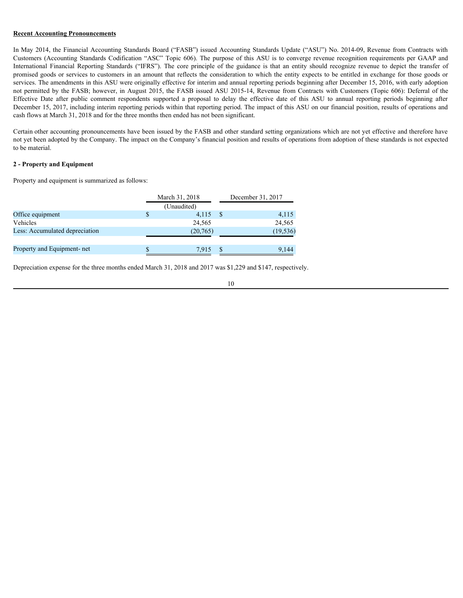# **Recent Accounting Pronouncements**

In May 2014, the Financial Accounting Standards Board ("FASB") issued Accounting Standards Update ("ASU") No. 2014-09, Revenue from Contracts with **Recent Accounting Pronouncements**<br>In May 2014, the Financial Accounting Standards Board ("FASB") issued Accounting Standards Update ("ASU") No. 2014-09, Revenue from Contracts with<br>Customers (Accounting Standards Codifica **Recent Accounting Pronouncements**<br>In May 2014, the Financial Accounting Standards Board ("FASB") issued Accounting Standards Update ("ASU") No. 2014-09, Revenue from Contracts with<br>Customers (Accounting Standards Codifica promised goods or services to customers in an amount that reflects the consideration to which the entity expects to be entitled in exchange for those goods or services. The amendments in this ASU were originally effective for interim and annual reporting periods beginning after December 15, 2016, with early adoption Recent Accounting Pronouncements<br>In May 2014, the Financial Accounting Standards Board ("FASB") issued Accounting Standards Update ("ASU") No. 2014-09, Revenue from Contracts with<br>Customers (Accounting Standards Colifcatio **Recent Accounting Pronouncements**<br>In May 2014, the Financial Accounting Standards Board ("FASB") issued Accounting Standards Update ("ASU") No. 2014-09, Revenue from Contracts with<br>Customers (Accounting Standards Codifica December 15, 2017, including interim reporting periods within that reporting period. The impact of this ASU on our financial position, results of operations and cash flows at March 31, 2018 and for the three months then ended has not been significant.

Certain other accounting pronouncements have been issued by the FASB and other standard setting organizations which are not yet effective and therefore have not yet been adopted by the Company. The impact on the Company's financial position and results of operations from adoption of these standards is not expected to be material.

## **2 - Property and Equipment**

Property and equipment is summarized as follows:

|                                | March 31, 2018 |            | December 31, 2017 |  |
|--------------------------------|----------------|------------|-------------------|--|
|                                | (Unaudited)    |            |                   |  |
| Office equipment               |                | $4,115$ \$ | 4,115             |  |
| Vehicles                       |                | 24,565     | 24,565            |  |
| Less: Accumulated depreciation |                | (20, 765)  | (19, 536)         |  |
| Property and Equipment- net    |                | 7.915      | 9.144             |  |

Depreciation expense for the three months ended March 31, 2018 and 2017 was \$1,229 and \$147, respectively.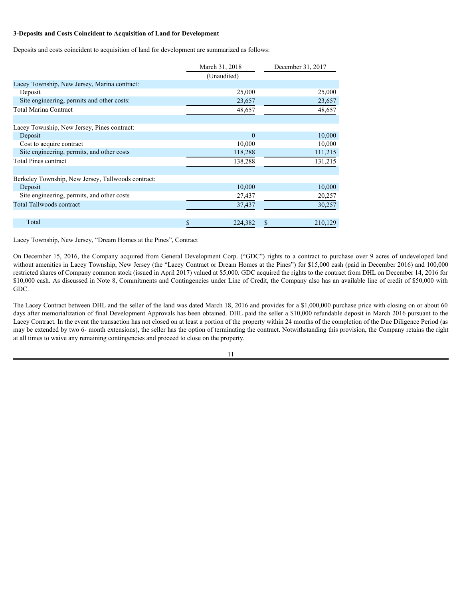# **3-Deposits and Costs Coincident to Acquisition of Land for Development**

| 3-Deposits and Costs Coincident to Acquisition of Land for Development                                                                                                                                                                                                                                          |                               |                    |
|-----------------------------------------------------------------------------------------------------------------------------------------------------------------------------------------------------------------------------------------------------------------------------------------------------------------|-------------------------------|--------------------|
| Deposits and costs coincident to acquisition of land for development are summarized as follows:                                                                                                                                                                                                                 |                               |                    |
|                                                                                                                                                                                                                                                                                                                 | March 31, 2018<br>(Unaudited) | December 31, 2017  |
| Lacey Township, New Jersey, Marina contract:                                                                                                                                                                                                                                                                    |                               |                    |
| Deposit                                                                                                                                                                                                                                                                                                         | 25,000                        | 25,000             |
| Site engineering, permits and other costs:                                                                                                                                                                                                                                                                      | 23,657                        | 23,657             |
| <b>Total Marina Contract</b>                                                                                                                                                                                                                                                                                    | 48,657                        | 48,657             |
|                                                                                                                                                                                                                                                                                                                 |                               |                    |
| Lacey Township, New Jersey, Pines contract:                                                                                                                                                                                                                                                                     |                               |                    |
| Deposit                                                                                                                                                                                                                                                                                                         | $\theta$                      | 10,000             |
| Cost to acquire contract<br>Site engineering, permits, and other costs                                                                                                                                                                                                                                          | 10,000                        | 10,000             |
| <b>Total Pines contract</b>                                                                                                                                                                                                                                                                                     | 118,288                       | 111,215<br>131,215 |
|                                                                                                                                                                                                                                                                                                                 | 138,288                       |                    |
| Berkeley Township, New Jersey, Tallwoods contract:                                                                                                                                                                                                                                                              |                               |                    |
| Deposit                                                                                                                                                                                                                                                                                                         | 10,000                        | 10,000             |
| Site engineering, permits, and other costs                                                                                                                                                                                                                                                                      | 27,437                        | 20,257             |
| <b>Total Tallwoods contract</b>                                                                                                                                                                                                                                                                                 | 37,437                        | 30,257             |
|                                                                                                                                                                                                                                                                                                                 |                               |                    |
| Total                                                                                                                                                                                                                                                                                                           | 224,382                       | 210,129            |
|                                                                                                                                                                                                                                                                                                                 |                               |                    |
| Lacey Township, New Jersey, "Dream Homes at the Pines", Contract                                                                                                                                                                                                                                                |                               |                    |
|                                                                                                                                                                                                                                                                                                                 |                               |                    |
| On December 15, 2016, the Company acquired from General Development Corp. ("GDC") rights to a contract to purchase over 9 acres of undeveloped land<br>without amenities in Lacey Township, New Jersey (the "Lacey Contract or Dream Homes at the Pines") for \$15,000 cash (paid in December 2016) and 100,000 |                               |                    |
| restricted shares of Company common stock (issued in April 2017) valued at \$5,000. GDC acquired the rights to the contract from DHL on December 14, 2016 for                                                                                                                                                   |                               |                    |
| \$10,000 cash. As discussed in Note 8, Commitments and Contingencies under Line of Credit, the Company also has an available line of credit of \$50,000 with                                                                                                                                                    |                               |                    |
| GDC.                                                                                                                                                                                                                                                                                                            |                               |                    |
|                                                                                                                                                                                                                                                                                                                 |                               |                    |
| The Lacey Contract between DHL and the seller of the land was dated March 18, 2016 and provides for a \$1,000,000 purchase price with closing on or about 60                                                                                                                                                    |                               |                    |
| days after memorialization of final Development Approvals has been obtained. DHL paid the seller a \$10,000 refundable deposit in March 2016 pursuant to the                                                                                                                                                    |                               |                    |

The Lacey Contract between DHL and the seller of the land was dated March 18, 2016 and provides for a \$1,000,000 purchase price with closing on or about 60 days after memorialization of final Development Approvals has been obtained. DHL paid the seller a \$10,000 refundable deposit in March 2016 pursuant to the Lacey Contract. In the event the transaction has not closed on at least a portion of the property within 24 months of the completion of the Due Diligence Period (as may be extended by two 6- month extensions), the seller has the option of terminating the contract. Notwithstanding this provision, the Company retains the right at all times to waive any remaining contingencies and proceed to close on the property.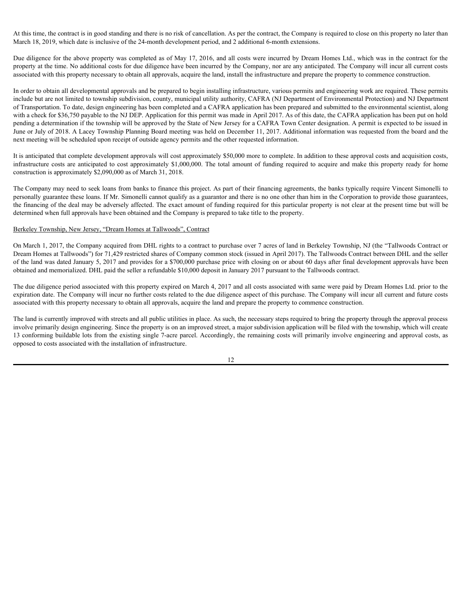At this time, the contract is in good standing and there is no risk of cancellation. As per the contract, the Company is required to close on this property no later than March 18, 2019, which date is inclusive of the 24-month development period, and 2 additional 6-month extensions.

Due diligence for the above property was completed as of May 17, 2016, and all costs were incurred by Dream Homes Ltd., which was in the contract for the property at the time. No additional costs for due diligence have been incurred by the Company, nor are any anticipated. The Company will incur all current costs associated with this property necessary to obtain all approvals, acquire the land, install the infrastructure and prepare the property to commence construction.

In order to obtain all developmental approvals and be prepared to begin installing infrastructure, various permits and engineering work are required. These permits include but are not limited to township subdivision, county, municipal utility authority, CAFRA (NJ Department of Environmental Protection) and NJ Department of Transportation. To date, design engineering has been completed and a CAFRA application has been prepared and submitted to the environmental scientist, along with a check for \$36,750 payable to the NJ DEP. Application for this permit was made in April 2017. As of this date, the CAFRA application has been put on hold pending a determination if the township will be approved by the State of New Jersey for a CAFRA Town Center designation. A permit is expected to be issued in June or July of 2018. A Lacey Township Planning Board meeting was held on December 11, 2017. Additional information was requested from the board and the next meeting will be scheduled upon receipt of outside agency permits and the other requested information. At this time, the contract is in good standing and there is no risk of cancellation. As per the contract, the Company is required to close on this property was later than March 18, 2019, which date is nelusive of the 24-m

It is anticipated that complete development approvals will cost approximately \$50,000 more to complete. In addition to these approval costs and acquisition costs, construction is approximately \$2,090,000 as of March 31, 2018.

The Company may need to seek loans from banks to finance this project. As part of their financing agreements, the banks typically require Vincent Simonelli to personally guarantee these loans. If Mr. Simonelli cannot qualify as a guarantor and there is no one other than him in the Corporation to provide those guarantees, the financing of the deal may be adversely affected. The exact amount of funding required for this particular property is not clear at the present time but will be determined when full approvals have been obtained and the Company is prepared to take title to the property.

## Berkeley Township, New Jersey, "Dream Homes at Tallwoods", Contract

On March 1, 2017, the Company acquired from DHL rights to a contract to purchase over 7 acres of land in Berkeley Township, NJ (the "Tallwoods Contract or Dream Homes at Tallwoods") for 71,429 restricted shares of Company common stock (issued in April 2017). The Tallwoods Contract between DHL and the seller of the land was dated January 5, 2017 and provides for a \$700,000 purchase price with closing on or about 60 days after final development approvals have been obtained and memorialized. DHL paid the seller a refundable \$10,000 deposit in January 2017 pursuant to the Tallwoods contract.

The due diligence period associated with this property expired on March 4, 2017 and all costs associated with same were paid by Dream Homes Ltd. prior to the expiration date. The Company will incur no further costs related to the due diligence aspect of this purchase. The Company will incur all current and future costs associated with this property necessary to obtain all approvals, acquire the land and prepare the property to commence construction.

The land is currently improved with streets and all public utilities in place. As such, the necessary steps required to bring the property through the approval process involve primarily design engineering. Since the property is on an improved street, a major subdivision application will be filed with the township, which will create 13 conforming buildable lots from the existing single 7-acre parcel. Accordingly, the remaining costs will primarily involve engineering and approval costs, as opposed to costs associated with the installation of infrastructure.

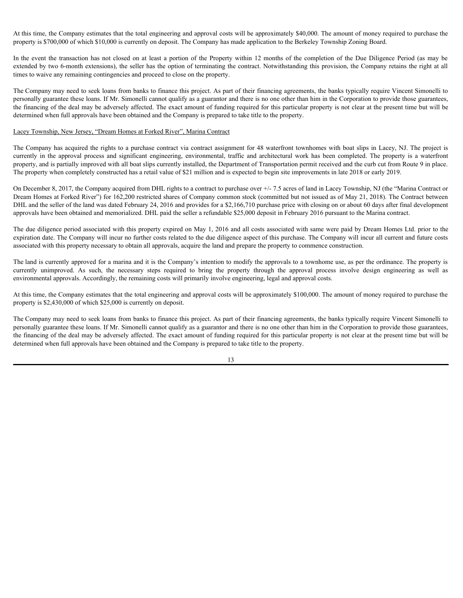At this time, the Company estimates that the total engineering and approval costs will be approximately \$40,000. The amount of money required to purchase the property is \$700,000 of which \$10,000 is currently on deposit. The Company has made application to the Berkeley Township Zoning Board.

extended by two 6-month extensions), the seller has the option of terminating the contract. Notwithstanding this provision, the Company retains the right at all times to waive any remaining contingencies and proceed to close on the property.

At this time, the Company estimates that the total engineering and approval costs will be approximately \$40,000. The amount of money required to purchase the property is \$700,000 of which \$10,000 is currently on deposit. T The Company may need to seek loans from banks to finance this project. As part of their financing agreements, the banks typically require Vincent Simonelli to personally guarantee these loans. If Mr. Simonelli cannot qualify as a guarantor and there is no one other than him in the Corporation to provide those guarantees, the financing of the deal may be adversely affected. The exact amount of funding required for this particular property is not clear at the present time but will be determined when full approvals have been obtained and the Company is prepared to take title to the property. At this time, the Company estimates that the total engineering and approval costs will be approximately \$40,000. The amount of money required to purchase the property is \$700,000 of which \$10,000 is currently on depost. T At this time, the Conquery estimates that the total regineering and sproval conts will be approximately 580,000. The amount of monoy required or properties of the properties of the formula provided by the whole the constr

#### Lacey Township, New Jersey, "Dream Homes at Forked River", Marina Contract

The Company has acquired the rights to a purchase contract via contract assignment for 48 waterfront townhomes with boat slips in Lacey, NJ. The project is property, and is partially improved with all boat slips currently installed, the Department of Transportation permit received and the curb cut from Route 9 in place. The property when completely constructed has a retail value of \$21 million and is expected to begin site improvements in late 2018 or early 2019.

On December 8, 2017, the Company acquired from DHL rights to a contract to purchase over +/- 7.5 acres of land in Lacey Township, NJ (the "Marina Contract or Dream Homes at Forked River") for 162,200 restricted shares of Company common stock (committed but not issued as of May 21, 2018). The Contract between DHL and the seller of the land was dated February 24, 2016 and provides for a \$2,166,710 purchase price with closing on or about 60 days after final development approvals have been obtained and memorialized. DHL paid the seller a refundable \$25,000 deposit in February 2016 pursuant to the Marina contract.

The due diligence period associated with this property expired on May 1, 2016 and all costs associated with same were paid by Dream Homes Ltd. prior to the expiration date. The Company will incur no further costs related to the due diligence aspect of this purchase. The Company will incur all current and future costs associated with this property necessary to obtain all approvals, acquire the land and prepare the property to commence construction.

The land is currently approved for a marina and it is the Company's intention to modify the approvals to a townhome use, as per the ordinance. The property is environmental approvals. Accordingly, the remaining costs will primarily involve engineering, legal and approval costs.

At this time, the Company estimates that the total engineering and approval costs will be approximately \$100,000. The amount of money required to purchase the property is \$2,430,000 of which \$25,000 is currently on deposit.

The Company may need to seek loans from banks to finance this project. As part of their financing agreements, the banks typically require Vincent Simonelli to personally guarantee these loans. If Mr. Simonelli cannot qualify as a guarantor and there is no one other than him in the Corporation to provide those guarantees, the financing of the deal may be adversely affected. The exact amount of funding required for this particular property is not clear at the present time but will be determined when full approvals have been obtained and the Company is prepared to take title to the property.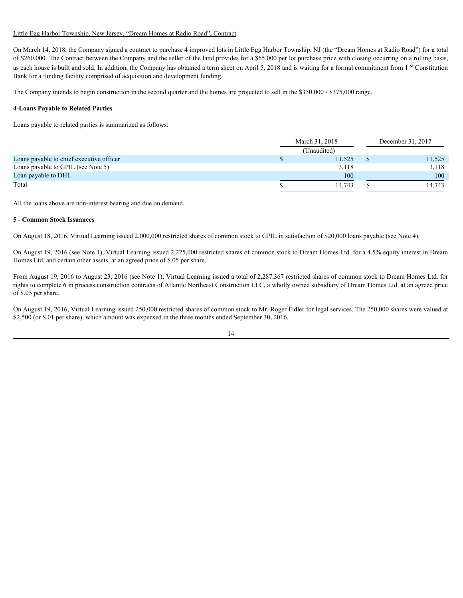# Little Egg Harbor Township, New Jersey, "Dream Homes at Radio Road", Contract

On March 14, 2018, the Company signed a contract to purchase 4 improved lots in Little Egg Harbor Township, NJ (the "Dream Homes at Radio Road") for a total of \$260,000. The Contract between the Company and the seller of the land provides for a \$65,000 per lot purchase price with closing occurring on a rolling basis, as each house is built and sold. In addition, the Company has obtained a term sheet on April 5, 2018 and is waiting for a formal commitment from 1<sup>st</sup> Constitution Bank for a funding facility comprised of acquisition and development funding.

The Company intends to begin construction in the second quarter and the homes are projected to sell in the \$350,000 - \$375,000 range.

#### **4-Loans Payable to Related Parties**

Loans payable to related parties is summarized as follows:

|                                          |  | March 31, 2018 |  | December 31, 2017 |  |
|------------------------------------------|--|----------------|--|-------------------|--|
|                                          |  | (Unaudited)    |  |                   |  |
| Loans payable to chief executive officer |  | 11,525         |  | 11,525            |  |
| Loans payable to GPIL (see Note 5)       |  | 3,118          |  | 3,118             |  |
| Loan payable to DHL                      |  | 100            |  | 100               |  |
| Total                                    |  | 14,743         |  | 14,743            |  |
|                                          |  |                |  |                   |  |

All the loans above are non-interest bearing and due on demand.

## **5 - Common Stock Issuances**

On August 18, 2016, Virtual Learning issued 2,000,000 restricted shares of common stock to GPIL in satisfaction of \$20,000 loans payable (see Note 4).

On August 19, 2016 (see Note 1), Virtual Learning issued 2,225,000 restricted shares of common stock to Dream Homes Ltd. for a 4.5% equity interest in Dream Homes Ltd. and certain other assets, at an agreed price of \$.05 per share.

From August 19, 2016 to August 23, 2016 (see Note 1), Virtual Learning issued a total of 2,287,367 restricted shares of common stock to Dream Homes Ltd. for rights to complete 6 in process construction contracts of Atlantic Northeast Construction LLC, a wholly owned subsidiary of Dream Homes Ltd. at an agreed price of \$.05 per share.

On August 19, 2016, Virtual Learning issued 250,000 restricted shares of common stock to Mr. Roger Fidler for legal services. The 250,000 shares were valued at \$2,500 (or \$.01 per share), which amount was expensed in the three months ended September 30, 2016.

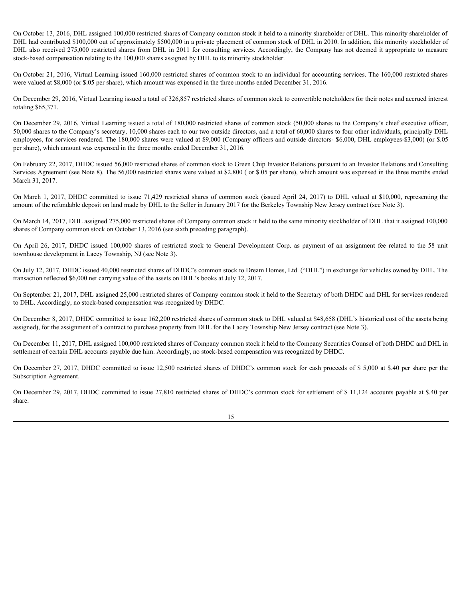On October 13, 2016, DHL assigned 100,000 restricted shares of Company common stock it held to a minority shareholder of DHL. This minority shareholder of DHL had contributed \$100,000 out of approximately \$500,000 in a private placement of common stock of DHL in 2010. In addition, this minority stockholder of DHL also received 275,000 restricted shares from DHL in 2011 for consulting services. Accordingly, the Company has not deemed it appropriate to measure stock-based compensation relating to the 100,000 shares assigned by DHL to its minority stockholder.

On October 21, 2016, Virtual Learning issued 160,000 restricted shares of common stock to an individual for accounting services. The 160,000 restricted shares were valued at \$8,000 (or \$.05 per share), which amount was expensed in the three months ended December 31, 2016.

On December 29, 2016, Virtual Learning issued a total of 326,857 restricted shares of common stock to convertible noteholders for their notes and accrued interest totaling \$65,371.

On December 29, 2016, Virtual Learning issued a total of 180,000 restricted shares of common stock (50,000 shares to the Company's chief executive officer, 50,000 shares to the Company's secretary, 10,000 shares each to our two outside directors, and a total of 60,000 shares to four other individuals, principally DHL employees, for services rendered. The 180,000 shares were valued at \$9,000 (Company officers and outside directors- \$6,000, DHL employees-\$3,000) (or \$.05 per share), which amount was expensed in the three months ended December 31, 2016. On October 13, 2016, DHL assigned 100,000 restricted shares of Company common stock it held to a minority shareholder of DHL. This minority shareholder of DHL in 2010, that committed SY000, on a strip system of Source of On October 13, 2016, DHI, assigned 100,000 centriced shares of Company common stock it held to a minority shareholder of DHI. This universident stock Company and Figure 1017. This minority also restricted shares for DHI, a

On February 22, 2017, DHDC issued 56,000 restricted shares of common stock to Green Chip Investor Relations pursuant to an Investor Relations and Consulting Services Agreement (see Note 8). The 56,000 restricted shares were valued at \$2,800 (or \$.05 per share), which amount was expensed in the three months ended March 31, 2017.

amount of the refundable deposit on land made by DHL to the Seller in January 2017 for the Berkeley Township New Jersey contract (see Note 3).

On March 14, 2017, DHL assigned 275,000 restricted shares of Company common stock it held to the same minority stockholder of DHL that it assigned 100,000 shares of Company common stock on October 13, 2016 (see sixth preceding paragraph).

townhouse development in Lacey Township, NJ (see Note 3).

On July 12, 2017, DHDC issued 40,000 restricted shares of DHDC's common stock to Dream Homes, Ltd. ("DHL") in exchange for vehicles owned by DHL. The transaction reflected \$6,000 net carrying value of the assets on DHL's books at July 12, 2017.

On September 21, 2017, DHL assigned 25,000 restricted shares of Company common stock it held to the Secretary of both DHDC and DHL for services rendered to DHL. Accordingly, no stock-based compensation was recognized by DHDC.

On December 8, 2017, DHDC committed to issue 162,200 restricted shares of common stock to DHL valued at \$48,658 (DHL's historical cost of the assets being assigned), for the assignment of a contract to purchase property from DHL for the Lacey Township New Jersey contract (see Note 3).

On December 11, 2017, DHL assigned 100,000 restricted shares of Company common stock it held to the Company Securities Counsel of both DHDC and DHL in settlement of certain DHL accounts payable due him. Accordingly, no stock-based compensation was recognized by DHDC.

On December 27, 2017, DHDC committed to issue 12,500 restricted shares of DHDC's common stock for cash proceeds of \$ 5,000 at \$.40 per share per the Subscription Agreement.

On December 29, 2017, DHDC committed to issue 27,810 restricted shares of DHDC's common stock for settlement of \$ 11,124 accounts payable at \$.40 per share.

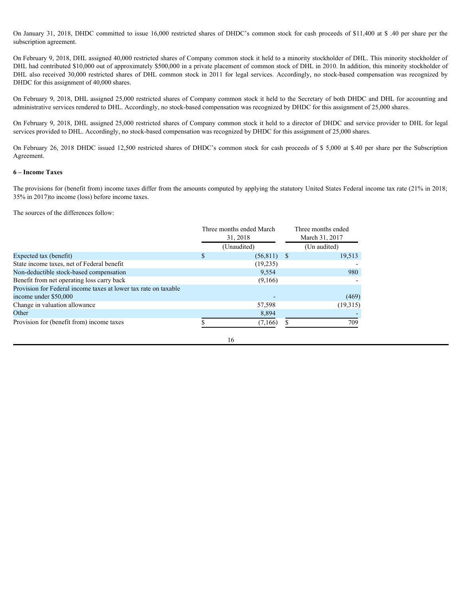subscription agreement.

On January 31, 2018, DHDC committed to issue 16,000 restricted shares of DHDC's common stock for cash proceeds of \$11,400 at \$ .40 per share per the<br>subscription agreement.<br>On February 9, 2018, DHL assigned 40,000 restrict On February 9, 2018, DHL assigned 40,000 restricted shares of Company common stock it held to a minority stockholder of DHL. This minority stockholder of DHL had contributed \$10,000 out of approximately \$500,000 in a private placement of common stock of DHL in 2010. In addition, this minority stockholder of DHL also received 30,000 restricted shares of DHL common stock in 2 On January 31, 2018, DHDC committed to issue 16,000 restricted shares of DHDC's common stock for cash proceeds of \$11,400 at \$ .40 per share per the subscription agreement.<br>On February 9, 2018, DHL assigned 40,000 restrict DHDC for this assignment of 40,000 shares. On January 31, 2018, DHDC committed to issue 16,000 restricted shares of DHDC's common stock for eash proceeds of \$11,400 at \$.40 per share per the subscription agreement.<br>On February 9, 2018, DHL assigned 40,000 restrict

On February 9, 2018, DHL assigned 25,000 restricted shares of Company common stock it held to the Secretary of both DHDC and DHL for accounting and administrative services rendered to DHL. Accordingly, no stock-based compensation was recognized by DHDC for this assignment of 25,000 shares.

On February 9, 2018, DHL assigned 25,000 restricted shares of Company common stock it held to a director of DHDC and service provider to DHL for legal services provided to DHL. Accordingly, no stock-based compensation was recognized by DHDC for this assignment of 25,000 shares.

Agreement.

# **6 – Income Taxes**

The provisions for (benefit from) income taxes differ from the amounts computed by applying the statutory United States Federal income tax rate (21% in 2018; 35% in 2017)to income (loss) before income taxes.

The sources of the differences follow:

|                                                                 | Three months ended March<br>31, 2018 |               | Three months ended<br>March 31, 2017 |              |  |
|-----------------------------------------------------------------|--------------------------------------|---------------|--------------------------------------|--------------|--|
|                                                                 |                                      | (Unaudited)   |                                      | (Un audited) |  |
| Expected tax (benefit)                                          | Ф                                    | $(56,811)$ \$ |                                      | 19,513       |  |
| State income taxes, net of Federal benefit                      |                                      | (19,235)      |                                      |              |  |
| Non-deductible stock-based compensation                         |                                      | 9,554         |                                      | 980          |  |
| Benefit from net operating loss carry back                      |                                      | (9,166)       |                                      |              |  |
| Provision for Federal income taxes at lower tax rate on taxable |                                      |               |                                      |              |  |
| income under \$50,000                                           |                                      |               |                                      | (469)        |  |
| Change in valuation allowance                                   |                                      | 57,598        |                                      | (19,315)     |  |
| Other                                                           |                                      | 8,894         |                                      |              |  |
| Provision for (benefit from) income taxes                       |                                      | (7,166)       |                                      | 709          |  |
|                                                                 |                                      | 16            |                                      |              |  |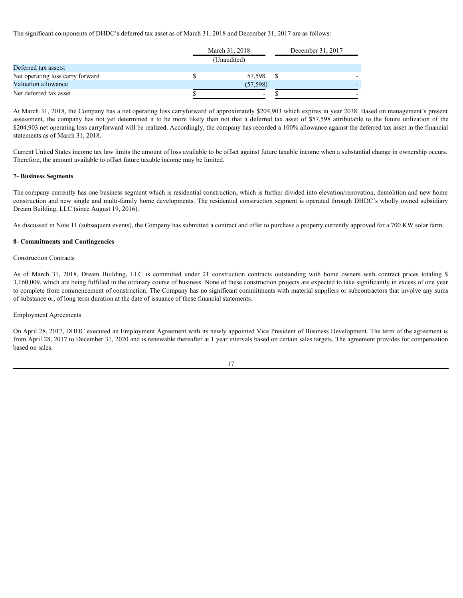| The significant components of DHDC's deferred tax asset as of March 31, 2018 and December 31, 2017 are as follows:                                                                                                                                                                                                                                                                                                                                                                                                                                                                          |   |                |                   |
|---------------------------------------------------------------------------------------------------------------------------------------------------------------------------------------------------------------------------------------------------------------------------------------------------------------------------------------------------------------------------------------------------------------------------------------------------------------------------------------------------------------------------------------------------------------------------------------------|---|----------------|-------------------|
|                                                                                                                                                                                                                                                                                                                                                                                                                                                                                                                                                                                             |   | March 31, 2018 | December 31, 2017 |
|                                                                                                                                                                                                                                                                                                                                                                                                                                                                                                                                                                                             |   | (Unaudited)    |                   |
| Deferred tax assets:<br>Net operating loss carry forward                                                                                                                                                                                                                                                                                                                                                                                                                                                                                                                                    | S | 57,598<br>- \$ |                   |
| Valuation allowance                                                                                                                                                                                                                                                                                                                                                                                                                                                                                                                                                                         |   | (57, 598)      |                   |
| Net deferred tax asset                                                                                                                                                                                                                                                                                                                                                                                                                                                                                                                                                                      |   | S.             |                   |
| At March 31, 2018, the Company has a net operating loss carryforward of approximately \$204,903 which expires in year 2038. Based on management's present<br>assessment, the company has not yet determined it to be more likely than not that a deferred tax asset of \$57,598 attributable to the future utilization of the<br>\$204,903 net operating loss carryforward will be realized. Accordingly, the company has recorded a 100% allowance against the deferred tax asset in the financial<br>statements as of March 31, 2018.                                                     |   |                |                   |
| Current United States income tax law limits the amount of loss available to be offset against future taxable income when a substantial change in ownership occurs.<br>Therefore, the amount available to offset future taxable income may be limited.                                                                                                                                                                                                                                                                                                                                       |   |                |                   |
| <b>7- Business Segments</b>                                                                                                                                                                                                                                                                                                                                                                                                                                                                                                                                                                 |   |                |                   |
| The company currently has one business segment which is residential construction, which is further divided into elevation/renovation, demolition and new home<br>construction and new single and multi-family home developments. The residential construction segment is operated through DHDC's wholly owned subsidiary<br>Dream Building, LLC (since August 19, 2016).                                                                                                                                                                                                                    |   |                |                   |
| As discussed in Note 11 (subsequent events), the Company has submitted a contract and offer to purchase a property currently approved for a 700 KW solar farm.                                                                                                                                                                                                                                                                                                                                                                                                                              |   |                |                   |
| 8- Commitments and Contingencies                                                                                                                                                                                                                                                                                                                                                                                                                                                                                                                                                            |   |                |                   |
| <b>Construction Contracts</b>                                                                                                                                                                                                                                                                                                                                                                                                                                                                                                                                                               |   |                |                   |
| As of March 31, 2018, Dream Building, LLC is committed under 21 construction contracts outstanding with home owners with contract prices totaling \$<br>3,160,009, which are being fulfilled in the ordinary course of business. None of these construction projects are expected to take significantly in excess of one year<br>to complete from commencement of construction. The Company has no significant commitments with material suppliers or subcontractors that involve any sums<br>of substance or, of long term duration at the date of issuance of these financial statements. |   |                |                   |
| <b>Employment Agreements</b>                                                                                                                                                                                                                                                                                                                                                                                                                                                                                                                                                                |   |                |                   |
| On April 28, 2017, DHDC executed an Employment Agreement with its newly appointed Vice President of Business Development. The term of the agreement is                                                                                                                                                                                                                                                                                                                                                                                                                                      |   |                |                   |

#### **7- Business Segments**

#### **8- Commitments and Contingencies**

# Construction Contracts

#### Employment Agreements

On April 28, 2017, DHDC executed an Employment Agreement with its newly appointed Vice President of Business Development. The term of the agreement is from April 28, 2017 to December 31, 2020 and is renewable thereafter at 1 year intervals based on certain sales targets. The agreement provides for compensation based on sales.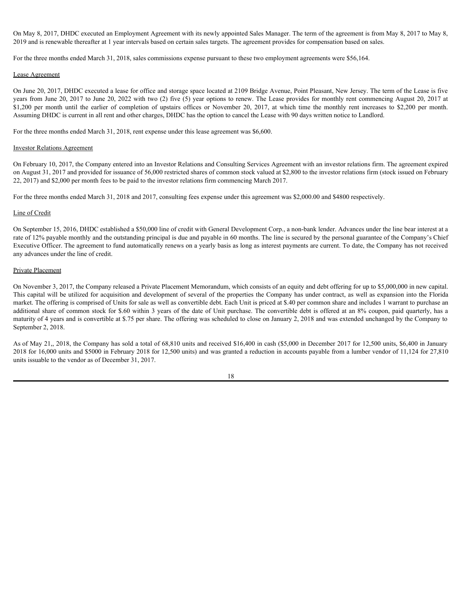On May 8, 2017, DHDC executed an Employment Agreement with its newly appointed Sales Manager. The term of the agreement is from May 8, 2017 to May 8, 2019 and is renewable thereafter at 1 year intervals based on certain sales targets. The agreement provides for compensation based on sales.

For the three months ended March 31, 2018, sales commissions expense pursuant to these two employment agreements were \$56,164.

#### Lease Agreement

On June 20, 2017, DHDC executed a lease for office and storage space located at 2109 Bridge Avenue, Point Pleasant, New Jersey. The term of the Lease is five years from June 20, 2017 to June 20, 2022 with two (2) five (5) year options to renew. The Lease provides for monthly rent commencing August 20, 2017 at On May 8, 2017, DHDC executed an Employment Agreement with its newly appointed Sales Manager. The term of the agreement is from May 8, 2017 to May 8,<br>2019 and is renewable thereafter at 1 year intervals based on certain sa Assuming DHDC is current in all rent and other charges, DHDC has the option to cancel the Lease with 90 days written notice to Landlord.

For the three months ended March 31, 2018, rent expense under this lease agreement was \$6,600.

#### Investor Relations Agreement

On February 10, 2017, the Company entered into an Investor Relations and Consulting Services Agreement with an investor relations firm. The agreement expired on August 31, 2017 and provided for issuance of 56,000 restricted shares of common stock valued at \$2,800 to the investor relations firm (stock issued on February 22, 2017) and \$2,000 per month fees to be paid to the investor relations firm commencing March 2017.

For the three months ended March 31, 2018 and 2017, consulting fees expense under this agreement was \$2,000.00 and \$4800 respectively.

#### Line of Credit

On September 15, 2016, DHDC established a \$50,000 line of credit with General Development Corp., a non-bank lender. Advances under the line bear interest at a rate of 12% payable monthly and the outstanding principal is due and payable in 60 months. The line is secured by the personal guarantee of the Company's Chief Executive Officer. The agreement to fund automatically renews on a yearly basis as long as interest payments are current. To date, the Company has not received any advances under the line of credit.

#### Private Placement

On November 3, 2017, the Company released a Private Placement Memorandum, which consists of an equity and debt offering for up to \$5,000,000 in new capital. This capital will be utilized for acquisition and development of several of the properties the Company has under contract, as well as expansion into the Florida market. The offering is comprised of Units for sale as well as convertible debt. Each Unit is priced at \$.40 per common share and includes 1 warrant to purchase an additional share of common stock for \$.60 within 3 years of the date of Unit purchase. The convertible debt is offered at an 8% coupon, paid quarterly, has a maturity of 4 years and is convertible at \$.75 per share. The offering was scheduled to close on January 2, 2018 and was extended unchanged by the Company to September 2, 2018.

As of May 21,, 2018, the Company has sold a total of 68,810 units and received \$16,400 in cash (\$5,000 in December 2017 for 12,500 units, \$6,400 in January 2018 for 16,000 units and \$5000 in February 2018 for 12,500 units) and was granted a reduction in accounts payable from a lumber vendor of 11,124 for 27,810 units issuable to the vendor as of December 31, 2017.

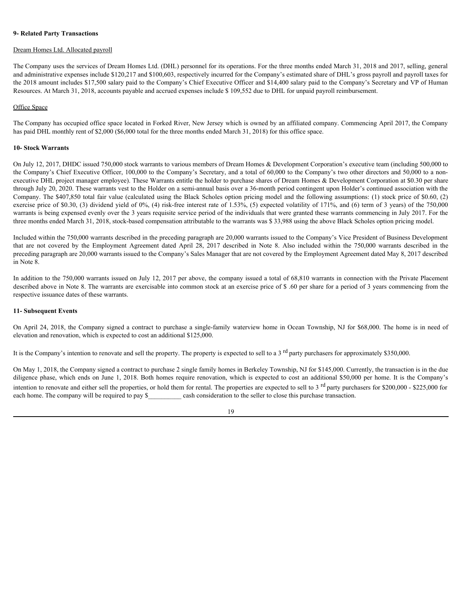#### **9- Related Party Transactions**

# Dream Homes Ltd. Allocated payroll

The Company uses the services of Dream Homes Ltd. (DHL) personnel for its operations. For the three months ended March 31, 2018 and 2017, selling, general and administrative expenses include \$120,217 and \$100,603, respectively incurred for the Company's estimated share of DHL's gross payroll and payroll taxes for the 2018 amount includes \$17,500 salary paid to the Company's Chief Executive Officer and \$14,400 salary paid to the Company's Secretary and VP of Human Resources. At March 31, 2018, accounts payable and accrued expenses include \$ 109,552 due to DHL for unpaid payroll reimbursement.

# Office Space

The Company has occupied office space located in Forked River, New Jersey which is owned by an affiliated company. Commencing April 2017, the Company has paid DHL monthly rent of \$2,000 (\$6,000 total for the three months ended March 31, 2018) for this office space.

#### **10- Stock Warrants**

On July 12, 2017, DHDC issued 750,000 stock warrants to various members of Dream Homes & Development Corporation's executive team (including 500,000 to the Company's Chief Executive Officer, 100,000 to the Company's Secretary, and a total of 60,000 to the Company's two other directors and 50,000 to a nonexecutive DHL project manager employee). These Warrants entitle the holder to purchase shares of Dream Homes & Development Corporation at \$0.30 per share through July 20, 2020. These warrants vest to the Holder on a semi-annual basis over a 36-month period contingent upon Holder's continued association with the Company. The \$407,850 total fair value (calculated using the Black Scholes option pricing model and the following assumptions: (1) stock price of \$0.60, (2) exercise price of \$0.30, (3) dividend yield of 0%, (4) risk-free interest rate of 1.53%, (5) expected volatility of 171%, and (6) term of 3 years) of the 750,000 warrants is being expensed evenly over the 3 years requisite service period of the individuals that were granted these warrants commencing in July 2017. For the three months ended March 31, 2018, stock-based compensation attributable to the warrants was \$ 33,988 using the above Black Scholes option pricing model. 9. Related Party Transactions<br>
Dream Liones Lat. Allocated partial<br>
The Company total behaviors of Urbann Humes Lat. (1011) presumed for the signediums. For this these members and Markov 13, 2018 and 2017, with graph and t In 24, 2018, 2018, 2018, 2018, 2018, 2018, 2018 a contract to purchase 3 (and Free Direct Township) a single-family and to purchase a single-family and the Company single-family (Similar Similar Similar Similar Similar Sim

Included within the 750,000 warrants described in the preceding paragraph are 20,000 warrants issued to the Company's Vice President of Business Development preceding paragraph are 20,000 warrants issued to the Company's Sales Manager that are not covered by the Employment Agreement dated May 8, 2017 described in Note 8.

In addition to the 750,000 warrants issued on July 12, 2017 per above, the company issued a total of 68,810 warrants in connection with the Private Placement described above in Note 8. The warrants are exercisable into common stock at an exercise price of \$ .60 per share for a period of 3 years commencing from the respective issuance dates of these warrants.

#### **11- Subsequent Events**

elevation and renovation, which is expected to cost an additional \$125,000.

It is the Company's intention to renovate and sell the property. The property is expected to sell to a 3<sup>rd</sup> party purchasers for approximately \$350,000.

On May 1, 2018, the Company signed a contract to purchase 2 single family homes in Berkeley Township, NJ for \$145,000. Currently, the transaction is in the due diligence phase, which ends on June 1, 2018. Both homes require renovation, which is expected to cost an additional \$50,000 per home. It is the Company's intention to renovate and either sell the properties, or hold them for rental. The properties are expected to sell to  $3<sup>rd</sup>$  party purchasers for \$200,000 - \$225,000 for each home. The company will be required to pay \$ cash consideration to the seller to close this purchase transaction.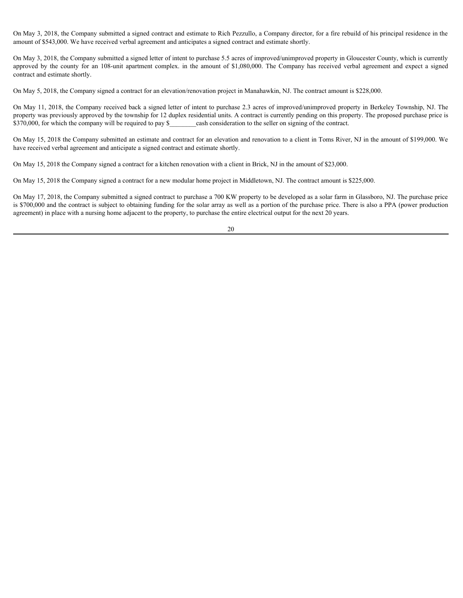On May 3, 2018, the Company submitted a signed contract and estimate to Rich Pezzullo, a Company director, for a fire rebuild of his principal residence in the amount of \$543,000. We have received verbal agreement and anticipates a signed contract and estimate shortly.

On May 3, 2018, the Company submitted a signed letter of intent to purchase 5.5 acres of improved/unimproved property in Gloucester County, which is currently On May 3, 2018, the Company submitted a signed contract and estimate to Rich Pezzullo, a Company director, for a fire rebuild of his principal residence in the<br>amount of \$543,000. We have received verbal agreement and anti contract and estimate shortly.

On May 5, 2018, the Company signed a contract for an elevation/renovation project in Manahawkin, NJ. The contract amount is \$228,000.

On May 11, 2018, the Company received back a signed letter of intent to purchase 2.3 acres of improved/unimproved property in Berkeley Township, NJ. The property was previously approved by the township for 12 duplex residential units. A contract is currently pending on this property. The proposed purchase price is \$370,000, for which the company will be required to pay \$ cash consideration to the seller on signing of the contract.

On May 15, 2018 the Company submitted an estimate and contract for an elevation and renovation to a client in Toms River, NJ in the amount of \$199,000. We have received verbal agreement and anticipate a signed contract and estimate shortly.

On May 15, 2018 the Company signed a contract for a kitchen renovation with a client in Brick, NJ in the amount of \$23,000.

On May 15, 2018 the Company signed a contract for a new modular home project in Middletown, NJ. The contract amount is \$225,000.

On May 17, 2018, the Company submitted a signed contract to purchase a 700 KW property to be developed as a solar farm in Glassboro, NJ. The purchase price is \$700,000 and the contract is subject to obtaining funding for the solar array as well as a portion of the purchase price. There is also a PPA (power production agreement) in place with a nursing home adjacent to the property, to purchase the entire electrical output for the next 20 years.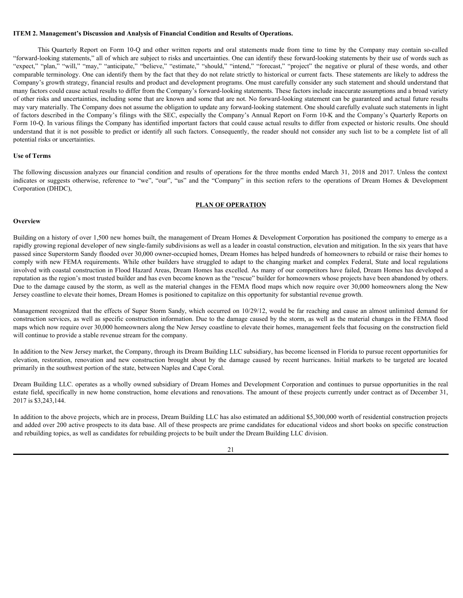#### <span id="page-20-0"></span>**ITEM 2. Management's Discussion and Analysis of Financial Condition and Results of Operations.**

**Management's Discussion and Analysis of Financial Condition and Results of Operations.**<br>This Quarterly Report on Form 10-Q and other written reports and oral statements made from time to time by the Company may contain so "forward-looking statements," all of which are subject to risks and uncertainties. One can identify these forward-looking statements by their use of words such as TTEM 2. Management's Discussion and Analysis of Financial Condition and Results of Operations.<br>
This Quarterly Report on Form 10-Q and other written reports and oral statements made from time to time by the Company may con comparable terminology. One can identify them by the fact that they do not relate strictly to historical or current facts. These statements are likely to address the Company's growth strategy, financial results and product and development programs. One must carefully consider any such statement and should understand that many factors could cause actual results to differ from the Company's forward-looking statements. These factors include inaccurate assumptions and a broad variety of other risks and uncertainties, including some that are known and some that are not. No forward-looking statement can be guaranteed and actual future results may vary materially. The Company does not assume the obligation to update any forward-looking statement. One should carefully evaluate such statements in light of factors described in the Company's filings with the SEC, especially the Company's Annual Report on Form 10-K and the Company's Quarterly Reports on Form 10-Q. In various filings the Company has identified important factors that could cause actual results to differ from expected or historic results. One should understand that it is not possible to predict or identify all such factors. Consequently, the reader should not consider any such list to be a complete list of all potential risks or uncertainties. **TTEM 2. Management's Discussion and Analysis of Financial Condition and Results of Operations.**<br>
This Quartery Report on Form 10-Q and other written reports and oral statements made from time to time by the Company rany **ITEM 2. Management's Discussion and Analysis of Financial Condition and Results of Operations.**<br>
This Quarterly Report on Form 10-0 and other written reports and one datements made from time to time by the Company may co **ITEM 2. Management's Diversion and Analysis of Financial Condition and Results of Operations.**<br>This Quantity Report on Form 16-Q and other within expect and anticuratements and form installed Coronal color increases the

#### **Use of Terms**

Corporation (DHDC),

### **PLAN OF OPERATION**

#### **Overview Overview** *Overview*

Building on a history of over 1,500 new homes built, the management of Dream Homes & Development Corporation has positioned the company to emerge as a rapidly growing regional developer of new single-family subdivisions as well as a leader in coastal construction, elevation and mitigation. In the six years that have passed since Superstorm Sandy flooded over 30,000 owner-occupied homes, Dream Homes has helped hundreds of homeowners to rebuild or raise their homes to involved with coastal construction in Flood Hazard Areas, Dream Homes has excelled. As many of our competitors have failed, Dream Homes has developed a reputation as the region's most trusted builder and has even become known as the "rescue" builder for homeowners whose projects have been abandoned by others. Due to the damage caused by the storm, as well as the material changes in the FEMA flood maps which now require over 30,000 homeowners along the New Jersey coastline to elevate their homes, Dream Homes is positioned to capitalize on this opportunity for substantial revenue growth. elevation, and the Company's filter to Fourier (Specific expectation, to SEC, expecific the SEC, expecific the filter member and of the company's points of the second specific experiments that the product restoration of Fi

Management recognized that the effects of Super Storm Sandy, which occurred on 10/29/12, would be far reaching and cause an almost unlimited demand for construction services, as well as specific construction information. Due to the damage caused by the storm, as well as the material changes in the FEMA flood maps which now require over 30,000 homeowners along the New Jersey coastline to elevate their homes, management feels that focusing on the construction field will continue to provide a stable revenue stream for the company.

In addition to the New Jersey market, the Company, through its Dream Building LLC subsidiary, has become licensed in Florida to pursue recent opportunities for primarily in the southwest portion of the state, between Naples and Cape Coral.

Dream Building LLC. operates as a wholly owned subsidiary of Dream Homes and Development Corporation and continues to pursue opportunities in the real estate field, specifically in new home construction, home elevations and renovations. The amount of these projects currently under contract as of December 31, 2017 is \$3,243,144.

In addition to the above projects, which are in process, Dream Building LLC has also estimated an additional \$5,300,000 worth of residential construction projects and added over 200 active prospects to its data base. All of these prospects are prime candidates for educational videos and short books on specific construction and rebuilding topics, as well as candidates for rebuilding projects to be built under the Dream Building LLC division.

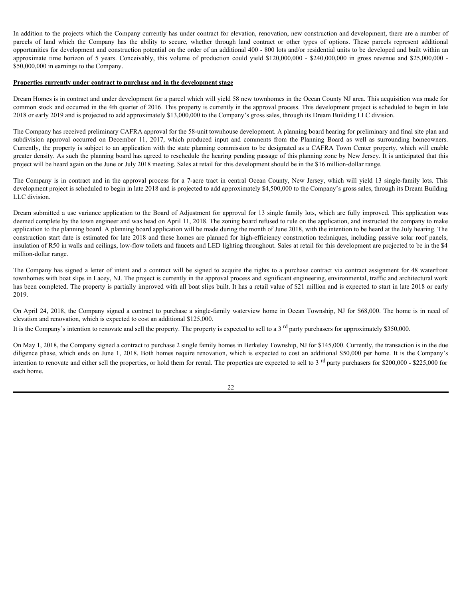In addition to the projects which the Company currently has under contract for elevation, renovation, new construction and development, there are a number of In addition to the projects which the Company currently has under contract for elevation, renovation, new construction and development, there are a number of parcels of land which the Company has the ability to secure, whe opportunities for development and construction potential on the order of an additional 400 - 800 lots and/or residential units to be developed and built within an In addition to the projects which the Company eurrently has under contract for elevation, renovation, new construction and development, there are a number of parcels of land which the Company has the ability to secure, whe \$50,000,000 in earnings to the Company. In addition to the projects which the Company currently has under contract for elevation, renovation, new construction and development, there are a number of<br>papertunities for development and constitution potential on the In addition to the projects which the Company currently has under contract for elevation, renovation, sew construction and development, there are a number of propertions of the ability to recar, whenches of a process of r

#### **Properties currently under contract to purchase and in the development stage**

Dream Homes is in contract and under development for a parcel which will yield 58 new townhomes in the Ocean County NJ area. This acquisition was made for common stock and occurred in the 4th quarter of 2016. This property is currently in the approval process. This development project is scheduled to begin in late 2018 or early 2019 and is projected to add approximately \$13,000,000 to the Company's gross sales, through its Dream Building LLC division.

The Company has received preliminary CAFRA approval for the 58-unit townhouse development. A planning board hearing for preliminary and final site plan and Currently, the property is subject to an application with the state planning commission to be designated as a CAFRA Town Center property, which will enable greater density. As such the planning board has agreed to reschedule the hearing pending passage of this planning zone by New Jersey. It is anticipated that this project will be heard again on the June or July 2018 meeting. Sales at retail for this development should be in the \$16 million-dollar range.

development project is scheduled to begin in late 2018 and is projected to add approximately \$4,500,000 to the Company's gross sales, through its Dream Building LLC division.

Dream submitted a use variance application to the Board of Adjustment for approval for 13 single family lots, which are fully improved. This application was deemed complete by the town engineer and was head on April 11, 2018. The zoning board refused to rule on the application, and instructed the company to make application to the planning board. A planning board application will be made during the month of June 2018, with the intention to be heard at the July hearing. The construction start date is estimated for late 2018 and these homes are planned for high-efficiency construction techniques, including passive solar roof panels, insulation of R50 in walls and ceilings, low-flow toilets and faucets and LED lighting throughout. Sales at retail for this development are projected to be in the \$4 million-dollar range. S50,000.000 in extrainer to the Company.<br> **Proposes contract to meet a contract to purchase and in the decelepment stage<br>
Drawn Homes contract to purchase and in the decelepment stage.<br>
Drawn Homes in the Company signed a** 

The Company has signed a letter of intent and a contract will be signed to acquire the rights to a purchase contract via contract assignment for 48 waterfront townhomes with boat slips in Lacey, NJ. The project is currently in the approval process and significant engineering, environmental, traffic and architectural work has been completed. The property is partially improved with all boat slips built. It has a retail value of \$21 million and is expected to start in late 2018 or early 2019.

elevation and renovation, which is expected to cost an additional \$125,000.

It is the Company's intention to renovate and sell the property. The property is expected to sell to a 3<sup>rd</sup> party purchasers for approximately \$350,000.

On May 1, 2018, the Company signed a contract to purchase 2 single family homes in Berkeley Township, NJ for \$145,000. Currently, the transaction is in the due diligence phase, which ends on June 1, 2018. Both homes require renovation, which is expected to cost an additional \$50,000 per home. It is the Company's intention to renovate and either sell the properties, or hold them for rental. The properties are expected to sell to  $3<sup>rd</sup>$  party purchasers for \$200,000 - \$225,000 for each home.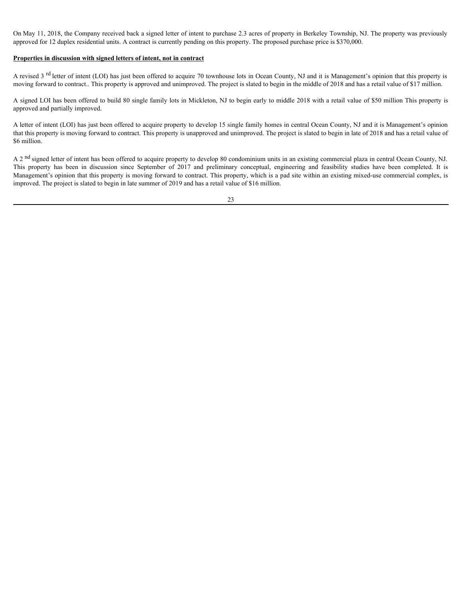On May 11, 2018, the Company received back a signed letter of intent to purchase 2.3 acres of property in Berkeley Township, NJ. The property was previously approved for 12 duplex residential units. A contract is currently pending on this property. The proposed purchase price is \$370,000.

# **Properties in discussion with signed letters of intent, not in contract**

A revised 3<sup>rd</sup> letter of intent (LOI) has just been offered to acquire 70 townhouse lots in Ocean County, NJ and it is Management's opinion that this property is moving forward to contract.. This property is approved and unimproved. The project is slated to begin in the middle of 2018 and has a retail value of \$17 million.

A signed LOI has been offered to build 80 single family lots in Mickleton, NJ to begin early to middle 2018 with a retail value of \$50 million This property is approved and partially improved.

A letter of intent (LOI) has just been offered to acquire property to develop 15 single family homes in central Ocean County, NJ and it is Management's opinion that this property is moving forward to contract. This property is unapproved and unimproved. The project is slated to begin in late of 2018 and has a retail value of \$6 million.

A 2<sup>nd</sup> signed letter of intent has been offered to acquire property to develop 80 condominium units in an existing commercial plaza in central Ocean County, NJ.<br>This property has been in discussion since September of 2017 On May 11, 2018, the Company received back a signed letter of intent to purchase 2.3 acres of property in Berkeley Township, NJ. The property was previously approved in 12 duplex residential units. A contract is currently Management's opinion that this property is moving forward to contract. This property, which is a pad site within an existing mixed-use commercial complex, is improved. The project is slated to begin in late summer of 2019 and has a retail value of \$16 million.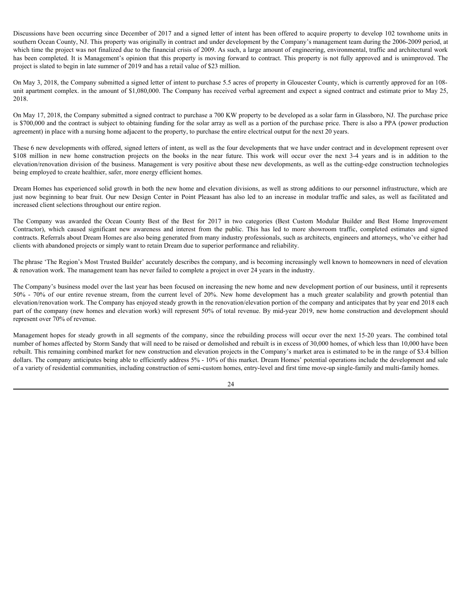Discussions have been occurring since December of 2017 and a signed letter of intent has been offered to acquire property to develop 102 townhome units in southern Ocean County, NJ. This property was originally in contract and under development by the Company's management team during the 2006-2009 period, at which time the project was not finalized due to the financial crisis of 2009. As such, a large amount of engineering, environmental, traffic and architectural work has been completed. It is Management's opinion that this property is moving forward to contract. This property is not fully approved and is unimproved. The project is slated to begin in late summer of 2019 and has a retail value of \$23 million. Discussions have been occurring since December of 2017 and a signad letter of intent las been offsered to acquire property to develop 102 townhome units in southern Ocean County, VJJ. This property was originally in contr Discussions have been occurring since December of 2017 and a signed letter of intenti has bear offered to acquire property to develop 102 townhome units in southern theorem from contract Minister of contract signed in the Discussions have been eccuring since December of 2017 and a signed letter of intent has been different one capacity and incompany and signed intent of company and any amazon of equiversity in company and analogo and this Discussions have been occurring since December of 2017 and a signed letter of intert has been controlled social controlled the controlled intertion (National Controlled Controlled Controlled The company is another control

On May 3, 2018, the Company submitted a signed letter of intent to purchase 5.5 acres of property in Gloucester County, which is currently approved for an 108 unit apartment complex. in the amount of \$1,080,000. The Company has received verbal agreement and expect a signed contract and estimate prior to May 25, 2018.

On May 17, 2018, the Company submitted a signed contract to purchase a 700 KW property to be developed as a solar farm in Glassboro, NJ. The purchase price is \$700,000 and the contract is subject to obtaining funding for the solar array as well as a portion of the purchase price. There is also a PPA (power production agreement) in place with a nursing home adjacent to the property, to purchase the entire electrical output for the next 20 years.

These 6 new developments with offered, signed letters of intent, as well as the four developments that we have under contract and in development represent over elevation/renovation division of the business. Management is very positive about these new developments, as well as the cutting-edge construction technologies being employed to create healthier, safer, more energy efficient homes.

Dream Homes has experienced solid growth in both the new home and elevation divisions, as well as strong additions to our personnel infrastructure, which are increased client selections throughout our entire region.

contracts. Referrals about Dream Homes are also being generated from many industry professionals, such as architects, engineers and attorneys, who've either had clients with abandoned projects or simply want to retain Dream due to superior performance and reliability.

The phrase 'The Region's Most Trusted Builder' accurately describes the company, and is becoming increasingly well known to homeowners in need of elevation & renovation work. The management team has never failed to complete a project in over 24 years in the industry.

The Company's business model over the last year has been focused on increasing the new home and new development portion of our business, until it represents which the the projects is an unit finite of the former derivated eristor. This process compute the member of the company constraint, much and actual the member of the current of the strength and actual the property is not elevation/renovation work. The Company has enjoyed steady growth in the renovation/elevation portion of the company and anticipates that by year end 2018 each part of the company (new homes and elevation work) will represent 50% of total revenue. By mid-year 2019, new home construction and development should represent over 70% of revenue.

mine complex in the amount of \$1,080.000. The Company be necessed worth deprecent in expect steps for minimal states in the company, it is a stellar than in Glashon, NJ. The parallas prior (0.00 km), 12, 2018, the Company number of homes affected by Storm Sandy that will need to be raised or demolished and rebuilt is in excess of 30,000 homes, of which less than 10,000 have been rebuilt. This remaining combined market for new construction and elevation projects in the Company's market area is estimated to be in the range of \$3.4 billion dollars. The company anticipates being able to efficiently address 5% - 10% of this market. Dream Homes' potential operations include the development and sale of a variety of residential communities, including construction of semi-custom homes, entry-level and first time move-up single-family and multi-family homes.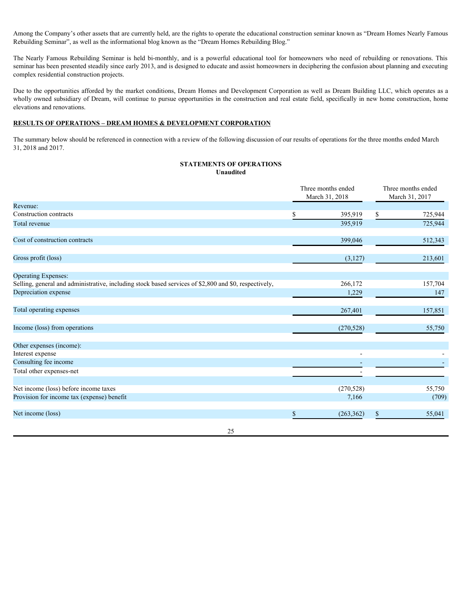Among the Company's other assets that are currently held, are the rights to operate the educational construction seminar known as "Dream Homes Nearly Famous Rebuilding Seminar", as well as the informational blog known as the "Dream Homes Rebuilding Blog."

Among the Company's other assets that are currently held, are the rights to operate the educational construction seminar known as "Dream Homes Nearly Famous Rebuilding Seminar", as well as the informational blog known as t seminar has been presented steadily since early 2013, and is designed to educate and assist homeowners in deciphering the confusion about planning and executing complex residential construction projects.

Due to the opportunities afforded by the market conditions, Dream Homes and Development Corporation as well as Dream Building LLC, which operates as a wholly owned subsidiary of Dream, will continue to pursue opportunities in the construction and real estate field, specifically in new home construction, home elevations and renovations.

# **RESULTS OF OPERATIONS – DREAM HOMES & DEVELOPMENT CORPORATION**

The summary below should be referenced in connection with a review of the following discussion of our results of operations for the three months ended March 31, 2018 and 2017.

#### **STATEMENTS OF OPERATIONS Unaudited**

|                                                                                                       |    | Three months ended<br>March 31, 2018 | Three months ended<br>March 31, 2017 |         |  |
|-------------------------------------------------------------------------------------------------------|----|--------------------------------------|--------------------------------------|---------|--|
| Revenue:                                                                                              |    |                                      |                                      |         |  |
| Construction contracts                                                                                |    | 395,919                              | \$                                   | 725,944 |  |
| Total revenue                                                                                         |    | 395,919                              |                                      | 725,944 |  |
| Cost of construction contracts                                                                        |    | 399,046                              |                                      | 512,343 |  |
| Gross profit (loss)                                                                                   |    | (3,127)                              |                                      | 213,601 |  |
| <b>Operating Expenses:</b>                                                                            |    |                                      |                                      |         |  |
| Selling, general and administrative, including stock based services of \$2,800 and \$0, respectively, |    | 266,172                              |                                      | 157,704 |  |
| Depreciation expense                                                                                  |    | 1,229                                |                                      | 147     |  |
| Total operating expenses                                                                              |    | 267,401                              |                                      | 157,851 |  |
| Income (loss) from operations                                                                         |    | (270, 528)                           |                                      | 55,750  |  |
| Other expenses (income):                                                                              |    |                                      |                                      |         |  |
| Interest expense                                                                                      |    |                                      |                                      |         |  |
| Consulting fee income                                                                                 |    |                                      |                                      |         |  |
| Total other expenses-net                                                                              |    |                                      |                                      |         |  |
| Net income (loss) before income taxes                                                                 |    | (270, 528)                           |                                      | 55,750  |  |
| Provision for income tax (expense) benefit                                                            |    | 7,166                                |                                      | (709)   |  |
| Net income (loss)                                                                                     | \$ | (263, 362)                           | \$.                                  | 55,041  |  |
| 25                                                                                                    |    |                                      |                                      |         |  |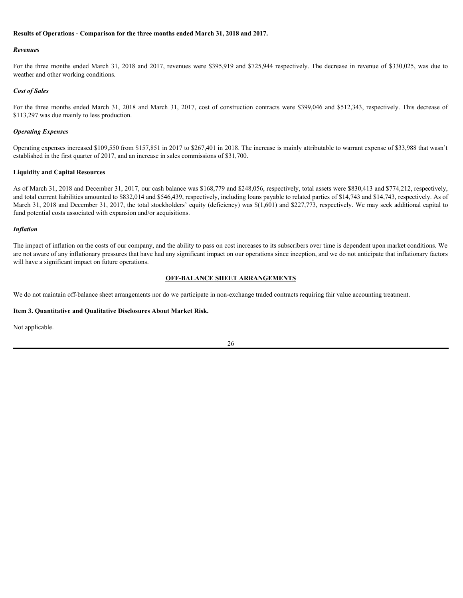#### **Results of Operations - Comparison for the three months ended March 31, 2018 and 2017.**

#### *Revenues*

**Results of Operations - Comparison for the three months ended March 31, 2018 and 2017.**<br> **Revenues**<br>
For the three months ended March 31, 2018 and 2017, revenues were \$395,919 and \$725,944 respectively. The decrease in re weather and other working conditions. **Reventes**<br>For the three months ended March 31, 2018 and 2017, revenues were \$395,919 and \$725,944 respectively. The decrease in revenue of \$330,025, was due to<br>weather and other working conditions.<br>Cost of Sales<br>For the t

#### *Cost of Sales*

\$113,297 was due mainly to less production.

#### *Operating Expenses*

Operating expenses increased \$109,550 from \$157,851 in 2017 to \$267,401 in 2018. The increase is mainly attributable to warrant expense of \$33,988 that wasn't established in the first quarter of 2017, and an increase in sales commissions of \$31,700.

#### **Liquidity and Capital Resources**

As of March 31, 2018 and December 31, 2017, our cash balance was \$168,779 and \$248,056, respectively, total assets were \$830,413 and \$774,212, respectively, and total current liabilities amounted to \$832,014 and \$546,439, respectively, including loans payable to related parties of \$14,743 and \$14,743, respectively. As of March 31, 2018 and December 31, 2017, the total stockholders' equity (deficiency) was \$(1,601) and \$227,773, respectively. We may seek additional capital to fund potential costs associated with expansion and/or acquisitions.

#### *Inflation*

The impact of inflation on the costs of our company, and the ability to pass on cost increases to its subscribers over time is dependent upon market conditions. We are not aware of any inflationary pressures that have had any significant impact on our operations since inception, and we do not anticipate that inflationary factors will have a significant impact on future operations.

## **OFF-BALANCE SHEET ARRANGEMENTS**

We do not maintain off-balance sheet arrangements nor do we participate in non-exchange traded contracts requiring fair value accounting treatment.

#### <span id="page-25-0"></span>**Item 3. Quantitative and Qualitative Disclosures About Market Risk.**

Not applicable.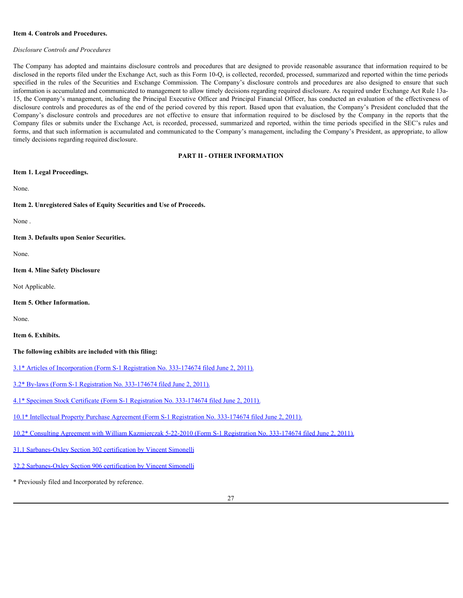#### <span id="page-26-0"></span>**Item 4. Controls and Procedures.**

#### *Disclosure Controls and Procedures*

The Company has adopted and maintains disclosure controls and procedures that are designed to provide reasonable assurance that information required to be disclosed in the reports filed under the Exchange Act, such as this Form 10-Q, is collected, recorded, processed, summarized and reported within the time periods **Item 4. Controls and Procedures.**<br> *Disclosure Controls and Procedures*<br>
The Company has adopted and maintains disclosure controls and procedures that are designed to provide reasonable assurance that information required information is accumulated and communicated to management to allow timely decisions regarding required disclosure. As required under Exchange Act Rule 13a-15, the Company's management, including the Principal Executive Officer and Principal Financial Officer, has conducted an evaluation of the effectiveness of disclosure controls and procedures as of the end of the period covered by this report. Based upon that evaluation, the Company's President concluded that the Item 4. Controls and Procedures.<br>
Disclosure Controls and Procedures<br>
The Company has adopted and maintains disclosure controls and procedures that are designed to provide reasonable assurance that information required to Company files or submits under the Exchange Act, is recorded, processed, summarized and reported, within the time periods specified in the SEC's rules and forms, and that such information is accumulated and communicated to the Company's management, including the Company's President, as appropriate, to allow timely decisions regarding required disclosure.

### **PART II - OTHER INFORMATION**

<span id="page-26-7"></span><span id="page-26-6"></span><span id="page-26-5"></span><span id="page-26-4"></span><span id="page-26-3"></span><span id="page-26-2"></span><span id="page-26-1"></span>

| Item 1. Legal Proceedings.                                                                                               |
|--------------------------------------------------------------------------------------------------------------------------|
| None.                                                                                                                    |
| Item 2. Unregistered Sales of Equity Securities and Use of Proceeds.                                                     |
| None.                                                                                                                    |
| Item 3. Defaults upon Senior Securities.                                                                                 |
| None.                                                                                                                    |
| <b>Item 4. Mine Safety Disclosure</b>                                                                                    |
| Not Applicable.                                                                                                          |
| Item 5. Other Information.                                                                                               |
| None.                                                                                                                    |
| Item 6. Exhibits.                                                                                                        |
| The following exhibits are included with this filing:                                                                    |
| 3.1* Articles of Incorporation (Form S-1 Registration No. 333-174674 filed June 2, 2011).                                |
| 3.2* By-laws (Form S-1 Registration No. 333-174674 filed June 2, 2011).                                                  |
| 4.1* Specimen Stock Certificate (Form S-1 Registration No. 333-174674 filed June 2, 2011).                               |
| 10.1* Intellectual Property Purchase Agreement (Form S-1 Registration No. 333-174674 filed June 2, 2011).                |
| 10.2* Consulting Agreement with William Kazmierczak 5-22-2010 (Form S-1 Registration No. 333-174674 filed June 2, 2011). |
| 31.1 Sarbanes-Oxley Section 302 certification by Vincent Simonelli                                                       |
| 32.2 Sarbanes-Oxley Section 906 certification by Vincent Simonelli                                                       |
| * Previously filed and Incorporated by reference.                                                                        |
| 27                                                                                                                       |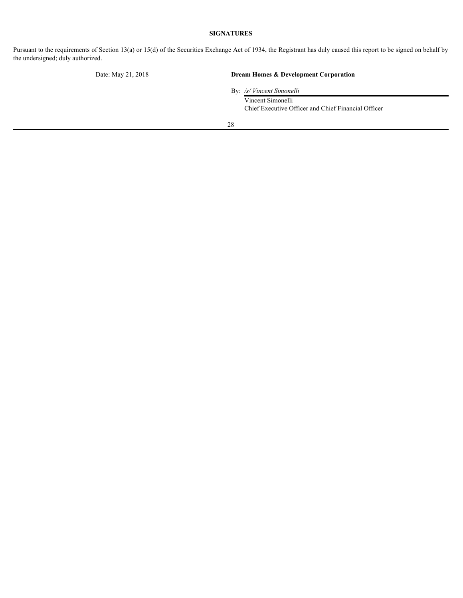# **SIGNATURES**

<span id="page-27-0"></span>Pursuant to the requirements of Section 13(a) or 15(d) of the Securities Exchange Act of 1934, the Registrant has duly caused this report to be signed on behalf by the undersigned; duly authorized.

# Date: May 21, 2018 **Dream Homes & Development Corporation**

By: */s/ Vincent Simonelli*

Vincent Simonelli Chief Executive Officer and Chief Financial Officer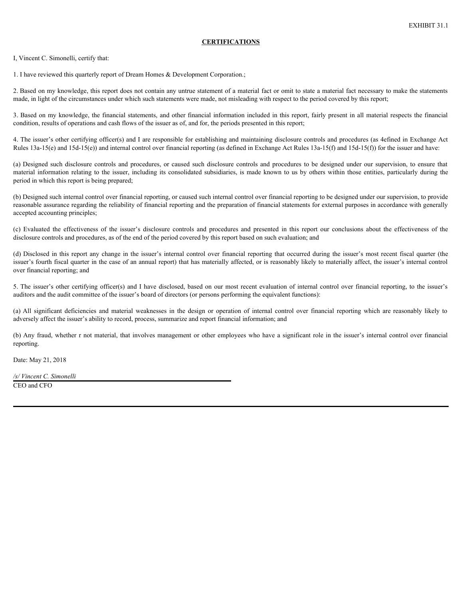# **CERTIFICATIONS**

<span id="page-28-0"></span>I, Vincent C. Simonelli, certify that:

1. I have reviewed this quarterly report of Dream Homes & Development Corporation.;

2. Based on my knowledge, this report does not contain any untrue statement of a material fact or omit to state a material fact necessary to make the statements made, in light of the circumstances under which such statements were made, not misleading with respect to the period covered by this report;

3. Based on my knowledge, the financial statements, and other financial information included in this report, fairly present in all material respects the financial condition, results of operations and cash flows of the issuer as of, and for, the periods presented in this report;

4. The issuer's other certifying officer(s) and I are responsible for establishing and maintaining disclosure controls and procedures (as 4efined in Exchange Act Rules  $13a-15(e)$  and  $15d-15(e)$ ) and internal control over financial reporting (as defined in Exchange Act Rules  $13a-15(f)$ ) and  $15d-15(f)$ ) for the issuer and have:

period in which this report is being prepared;

EXHIBIC ATIONS<br>
SERTIFIC ATIONS<br>
1. L have reviewed this quarterly report of Dream Homes & Development Corporation,<br>
2. Based on my knowledge, this report does not contain any unture statement of a material procedure in th EXHIBIT 31.1<br>
1. Thave reviewed this quarterly report of Dream Homes & Development Corporation.<br>
2. Based on my knowledge, this report does not contain any untrue suitercont of a material fact or conit to state a material (b) Designed such internal control over financial reporting, or caused such internal control over financial reporting to be designed under our supervision, to provide reasonable assurance regarding the reliability of financial reporting and the preparation of financial statements for external purposes in accordance with generally accepted accounting principles; **CERTIFICATIONS**<br>
(CERTIFICATIONS)<br>
11 have reviewed this quarted years of Preme Hores. & Development Corporation;<br>
2. Hased on my knowledge, this report does not contain any unture stakement of a material fact or emit to I. Have reviewed this quatrix is port of Dicam Homes & Development Cosponion,<br>
2. Bused on any knowledge, this report does not contain any unitae attention of a material fact or omit to state a material or file mergeratio

disclosure controls and procedures, as of the end of the period covered by this report based on such evaluation; and

(d) Disclosed in this report any change in the issuer's internal control over financial reporting that occurred during the issuer's most recent fiscal quarter (the issuer's fourth fiscal quarter in the case of an annual report) that has materially affected, or is reasonably likely to materially affect, the issuer's internal control over financial reporting; and

5. The issuer's other certifying officer(s) and I have disclosed, based on our most recent evaluation of internal control over financial reporting, to the issuer's auditors and the audit committee of the issuer's board of directors (or persons performing the equivalent functions):

adversely affect the issuer's ability to record, process, summarize and report financial information; and

(b) Any fraud, whether r not material, that involves management or other employees who have a significant role in the issuer's internal control over financial reporting.

Date: May 21, 2018

*/s/ Vincent C. Simonelli* CEO and CFO